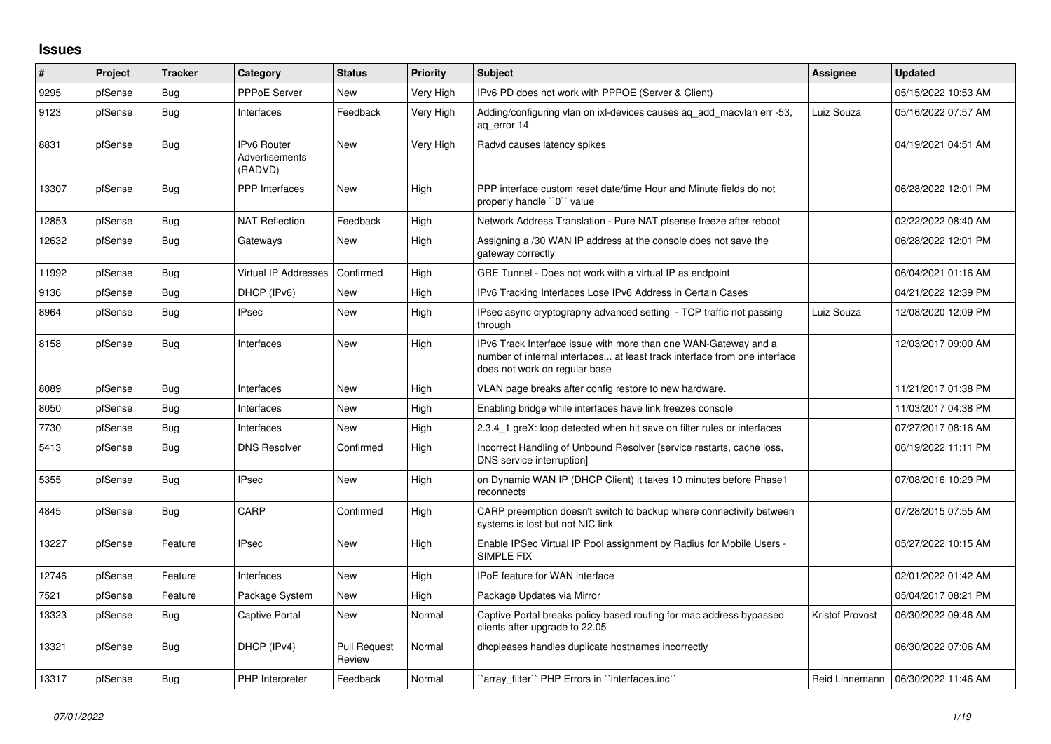## **Issues**

| #     | Project | <b>Tracker</b> | Category                                        | <b>Status</b>                 | <b>Priority</b> | <b>Subject</b>                                                                                                                                                                | <b>Assignee</b>        | <b>Updated</b>                       |
|-------|---------|----------------|-------------------------------------------------|-------------------------------|-----------------|-------------------------------------------------------------------------------------------------------------------------------------------------------------------------------|------------------------|--------------------------------------|
| 9295  | pfSense | Bug            | <b>PPPoE Server</b>                             | <b>New</b>                    | Very High       | IPv6 PD does not work with PPPOE (Server & Client)                                                                                                                            |                        | 05/15/2022 10:53 AM                  |
| 9123  | pfSense | Bug            | Interfaces                                      | Feedback                      | Very High       | Adding/configuring vlan on ixi-devices causes ag add macvian err -53,<br>ag error 14                                                                                          | Luiz Souza             | 05/16/2022 07:57 AM                  |
| 8831  | pfSense | <b>Bug</b>     | <b>IPv6 Router</b><br>Advertisements<br>(RADVD) | <b>New</b>                    | Very High       | Radvd causes latency spikes                                                                                                                                                   |                        | 04/19/2021 04:51 AM                  |
| 13307 | pfSense | Bug            | <b>PPP</b> Interfaces                           | <b>New</b>                    | High            | PPP interface custom reset date/time Hour and Minute fields do not<br>properly handle "0" value                                                                               |                        | 06/28/2022 12:01 PM                  |
| 12853 | pfSense | <b>Bug</b>     | <b>NAT Reflection</b>                           | Feedback                      | High            | Network Address Translation - Pure NAT pfsense freeze after reboot                                                                                                            |                        | 02/22/2022 08:40 AM                  |
| 12632 | pfSense | Bug            | Gateways                                        | <b>New</b>                    | High            | Assigning a /30 WAN IP address at the console does not save the<br>gateway correctly                                                                                          |                        | 06/28/2022 12:01 PM                  |
| 11992 | pfSense | Bug            | <b>Virtual IP Addresses</b>                     | Confirmed                     | High            | GRE Tunnel - Does not work with a virtual IP as endpoint                                                                                                                      |                        | 06/04/2021 01:16 AM                  |
| 9136  | pfSense | <b>Bug</b>     | DHCP (IPv6)                                     | <b>New</b>                    | High            | IPv6 Tracking Interfaces Lose IPv6 Address in Certain Cases                                                                                                                   |                        | 04/21/2022 12:39 PM                  |
| 8964  | pfSense | Bug            | <b>IPsec</b>                                    | <b>New</b>                    | High            | IPsec async cryptography advanced setting - TCP traffic not passing<br>through                                                                                                | Luiz Souza             | 12/08/2020 12:09 PM                  |
| 8158  | pfSense | <b>Bug</b>     | Interfaces                                      | <b>New</b>                    | High            | IPv6 Track Interface issue with more than one WAN-Gateway and a<br>number of internal interfaces at least track interface from one interface<br>does not work on regular base |                        | 12/03/2017 09:00 AM                  |
| 8089  | pfSense | Bug            | Interfaces                                      | <b>New</b>                    | High            | VLAN page breaks after config restore to new hardware.                                                                                                                        |                        | 11/21/2017 01:38 PM                  |
| 8050  | pfSense | <b>Bug</b>     | Interfaces                                      | <b>New</b>                    | High            | Enabling bridge while interfaces have link freezes console                                                                                                                    |                        | 11/03/2017 04:38 PM                  |
| 7730  | pfSense | <b>Bug</b>     | Interfaces                                      | <b>New</b>                    | High            | 2.3.4 1 greX: loop detected when hit save on filter rules or interfaces                                                                                                       |                        | 07/27/2017 08:16 AM                  |
| 5413  | pfSense | Bug            | <b>DNS Resolver</b>                             | Confirmed                     | High            | Incorrect Handling of Unbound Resolver [service restarts, cache loss,<br>DNS service interruption]                                                                            |                        | 06/19/2022 11:11 PM                  |
| 5355  | pfSense | Bug            | <b>IPsec</b>                                    | <b>New</b>                    | High            | on Dynamic WAN IP (DHCP Client) it takes 10 minutes before Phase1<br>reconnects                                                                                               |                        | 07/08/2016 10:29 PM                  |
| 4845  | pfSense | Bug            | CARP                                            | Confirmed                     | High            | CARP preemption doesn't switch to backup where connectivity between<br>systems is lost but not NIC link                                                                       |                        | 07/28/2015 07:55 AM                  |
| 13227 | pfSense | Feature        | <b>IPsec</b>                                    | <b>New</b>                    | High            | Enable IPSec Virtual IP Pool assignment by Radius for Mobile Users -<br>SIMPLE FIX                                                                                            |                        | 05/27/2022 10:15 AM                  |
| 12746 | pfSense | Feature        | Interfaces                                      | <b>New</b>                    | High            | <b>IPoE</b> feature for WAN interface                                                                                                                                         |                        | 02/01/2022 01:42 AM                  |
| 7521  | pfSense | Feature        | Package System                                  | New                           | High            | Package Updates via Mirror                                                                                                                                                    |                        | 05/04/2017 08:21 PM                  |
| 13323 | pfSense | Bug            | Captive Portal                                  | <b>New</b>                    | Normal          | Captive Portal breaks policy based routing for mac address bypassed<br>clients after upgrade to 22.05                                                                         | <b>Kristof Provost</b> | 06/30/2022 09:46 AM                  |
| 13321 | pfSense | Bug            | DHCP (IPv4)                                     | <b>Pull Request</b><br>Review | Normal          | dhcpleases handles duplicate hostnames incorrectly                                                                                                                            |                        | 06/30/2022 07:06 AM                  |
| 13317 | pfSense | Bug            | PHP Interpreter                                 | Feedback                      | Normal          | 'array filter'' PHP Errors in "interfaces.inc"                                                                                                                                |                        | Reid Linnemann   06/30/2022 11:46 AM |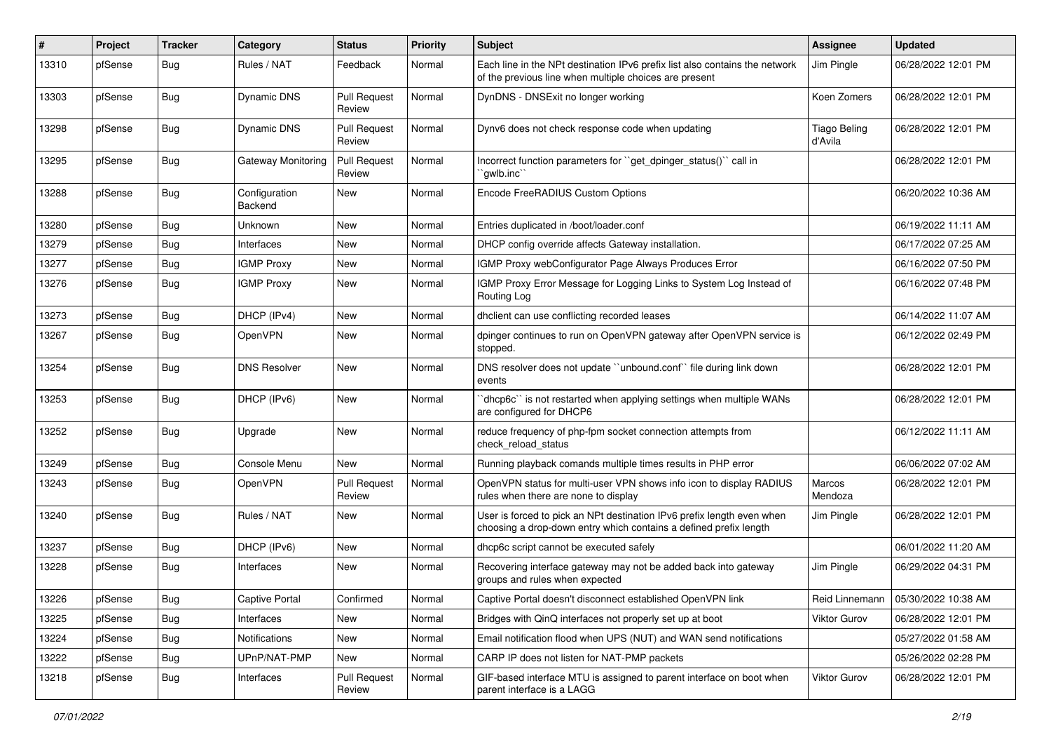| $\#$  | Project | <b>Tracker</b> | Category                 | <b>Status</b>                 | <b>Priority</b> | <b>Subject</b>                                                                                                                              | Assignee                       | <b>Updated</b>      |
|-------|---------|----------------|--------------------------|-------------------------------|-----------------|---------------------------------------------------------------------------------------------------------------------------------------------|--------------------------------|---------------------|
| 13310 | pfSense | <b>Bug</b>     | Rules / NAT              | Feedback                      | Normal          | Each line in the NPt destination IPv6 prefix list also contains the network<br>of the previous line when multiple choices are present       | Jim Pingle                     | 06/28/2022 12:01 PM |
| 13303 | pfSense | Bug            | Dynamic DNS              | <b>Pull Request</b><br>Review | Normal          | DynDNS - DNSExit no longer working                                                                                                          | Koen Zomers                    | 06/28/2022 12:01 PM |
| 13298 | pfSense | <b>Bug</b>     | Dynamic DNS              | <b>Pull Request</b><br>Review | Normal          | Dynv6 does not check response code when updating                                                                                            | <b>Tiago Beling</b><br>d'Avila | 06/28/2022 12:01 PM |
| 13295 | pfSense | <b>Bug</b>     | Gateway Monitoring       | Pull Request<br>Review        | Normal          | Incorrect function parameters for "get_dpinger_status()" call in<br>"gwlb.inc"                                                              |                                | 06/28/2022 12:01 PM |
| 13288 | pfSense | <b>Bug</b>     | Configuration<br>Backend | <b>New</b>                    | Normal          | Encode FreeRADIUS Custom Options                                                                                                            |                                | 06/20/2022 10:36 AM |
| 13280 | pfSense | <b>Bug</b>     | Unknown                  | New                           | Normal          | Entries duplicated in /boot/loader.conf                                                                                                     |                                | 06/19/2022 11:11 AM |
| 13279 | pfSense | <b>Bug</b>     | Interfaces               | New                           | Normal          | DHCP config override affects Gateway installation.                                                                                          |                                | 06/17/2022 07:25 AM |
| 13277 | pfSense | <b>Bug</b>     | <b>IGMP Proxy</b>        | New                           | Normal          | IGMP Proxy webConfigurator Page Always Produces Error                                                                                       |                                | 06/16/2022 07:50 PM |
| 13276 | pfSense | Bug            | <b>IGMP Proxy</b>        | New                           | Normal          | IGMP Proxy Error Message for Logging Links to System Log Instead of<br>Routing Log                                                          |                                | 06/16/2022 07:48 PM |
| 13273 | pfSense | <b>Bug</b>     | DHCP (IPv4)              | <b>New</b>                    | Normal          | dhclient can use conflicting recorded leases                                                                                                |                                | 06/14/2022 11:07 AM |
| 13267 | pfSense | Bug            | OpenVPN                  | New                           | Normal          | dpinger continues to run on OpenVPN gateway after OpenVPN service is<br>stopped.                                                            |                                | 06/12/2022 02:49 PM |
| 13254 | pfSense | <b>Bug</b>     | <b>DNS Resolver</b>      | <b>New</b>                    | Normal          | DNS resolver does not update "unbound.conf" file during link down<br>events                                                                 |                                | 06/28/2022 12:01 PM |
| 13253 | pfSense | <b>Bug</b>     | DHCP (IPv6)              | New                           | Normal          | 'dhcp6c'' is not restarted when applying settings when multiple WANs<br>are configured for DHCP6                                            |                                | 06/28/2022 12:01 PM |
| 13252 | pfSense | Bug            | Upgrade                  | New                           | Normal          | reduce frequency of php-fpm socket connection attempts from<br>check reload status                                                          |                                | 06/12/2022 11:11 AM |
| 13249 | pfSense | <b>Bug</b>     | Console Menu             | New                           | Normal          | Running playback comands multiple times results in PHP error                                                                                |                                | 06/06/2022 07:02 AM |
| 13243 | pfSense | Bug            | OpenVPN                  | <b>Pull Request</b><br>Review | Normal          | OpenVPN status for multi-user VPN shows info icon to display RADIUS<br>rules when there are none to display                                 | Marcos<br>Mendoza              | 06/28/2022 12:01 PM |
| 13240 | pfSense | <b>Bug</b>     | Rules / NAT              | New                           | Normal          | User is forced to pick an NPt destination IPv6 prefix length even when<br>choosing a drop-down entry which contains a defined prefix length | Jim Pingle                     | 06/28/2022 12:01 PM |
| 13237 | pfSense | <b>Bug</b>     | DHCP (IPv6)              | New                           | Normal          | dhcp6c script cannot be executed safely                                                                                                     |                                | 06/01/2022 11:20 AM |
| 13228 | pfSense | <b>Bug</b>     | Interfaces               | New                           | Normal          | Recovering interface gateway may not be added back into gateway<br>groups and rules when expected                                           | Jim Pingle                     | 06/29/2022 04:31 PM |
| 13226 | pfSense | Bug            | <b>Captive Portal</b>    | Confirmed                     | Normal          | Captive Portal doesn't disconnect established OpenVPN link                                                                                  | Reid Linnemann                 | 05/30/2022 10:38 AM |
| 13225 | pfSense | <b>Bug</b>     | Interfaces               | New                           | Normal          | Bridges with QinQ interfaces not properly set up at boot                                                                                    | Viktor Gurov                   | 06/28/2022 12:01 PM |
| 13224 | pfSense | <b>Bug</b>     | Notifications            | New                           | Normal          | Email notification flood when UPS (NUT) and WAN send notifications                                                                          |                                | 05/27/2022 01:58 AM |
| 13222 | pfSense | <b>Bug</b>     | UPnP/NAT-PMP             | New                           | Normal          | CARP IP does not listen for NAT-PMP packets                                                                                                 |                                | 05/26/2022 02:28 PM |
| 13218 | pfSense | Bug            | Interfaces               | <b>Pull Request</b><br>Review | Normal          | GIF-based interface MTU is assigned to parent interface on boot when<br>parent interface is a LAGG                                          | Viktor Gurov                   | 06/28/2022 12:01 PM |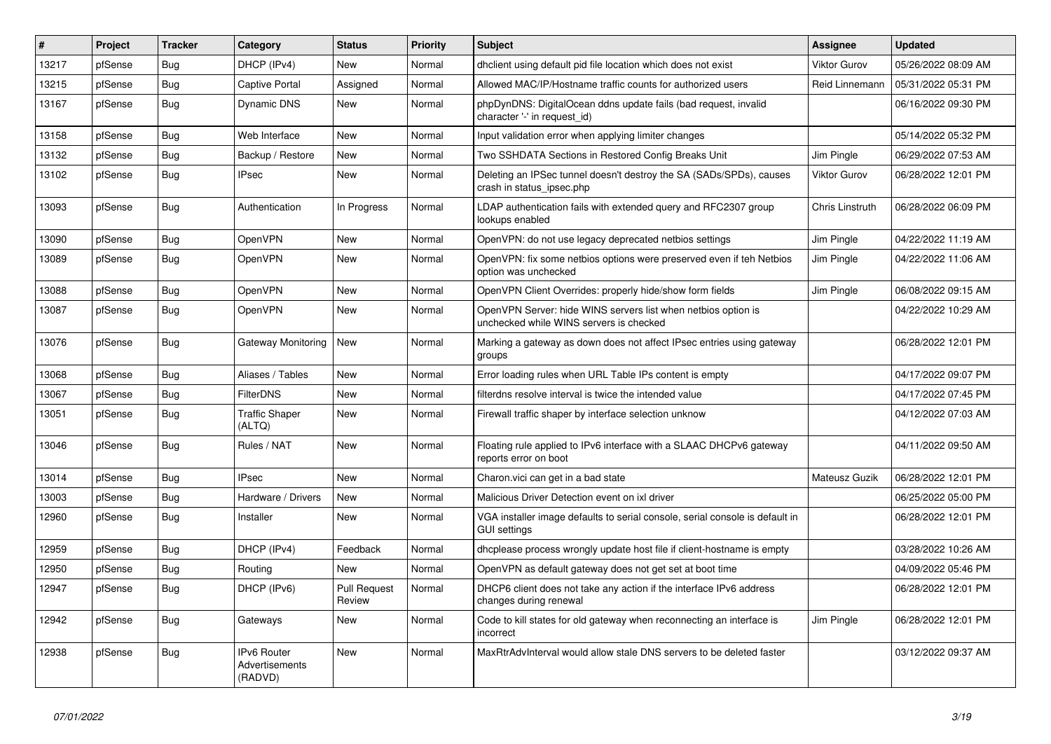| $\sharp$ | Project | <b>Tracker</b> | Category                                 | <b>Status</b>                 | <b>Priority</b> | <b>Subject</b>                                                                                           | Assignee            | <b>Updated</b>      |
|----------|---------|----------------|------------------------------------------|-------------------------------|-----------------|----------------------------------------------------------------------------------------------------------|---------------------|---------------------|
| 13217    | pfSense | Bug            | DHCP (IPv4)                              | <b>New</b>                    | Normal          | dhclient using default pid file location which does not exist                                            | <b>Viktor Gurov</b> | 05/26/2022 08:09 AM |
| 13215    | pfSense | Bug            | <b>Captive Portal</b>                    | Assigned                      | Normal          | Allowed MAC/IP/Hostname traffic counts for authorized users                                              | Reid Linnemann      | 05/31/2022 05:31 PM |
| 13167    | pfSense | <b>Bug</b>     | Dynamic DNS                              | <b>New</b>                    | Normal          | phpDynDNS: DigitalOcean ddns update fails (bad request, invalid<br>character '-' in request id)          |                     | 06/16/2022 09:30 PM |
| 13158    | pfSense | Bug            | Web Interface                            | <b>New</b>                    | Normal          | Input validation error when applying limiter changes                                                     |                     | 05/14/2022 05:32 PM |
| 13132    | pfSense | Bug            | Backup / Restore                         | <b>New</b>                    | Normal          | Two SSHDATA Sections in Restored Config Breaks Unit                                                      | Jim Pingle          | 06/29/2022 07:53 AM |
| 13102    | pfSense | <b>Bug</b>     | <b>IPsec</b>                             | <b>New</b>                    | Normal          | Deleting an IPSec tunnel doesn't destroy the SA (SADs/SPDs), causes<br>crash in status ipsec.php         | <b>Viktor Gurov</b> | 06/28/2022 12:01 PM |
| 13093    | pfSense | Bug            | Authentication                           | In Progress                   | Normal          | LDAP authentication fails with extended query and RFC2307 group<br>lookups enabled                       | Chris Linstruth     | 06/28/2022 06:09 PM |
| 13090    | pfSense | <b>Bug</b>     | <b>OpenVPN</b>                           | <b>New</b>                    | Normal          | OpenVPN: do not use legacy deprecated netbios settings                                                   | Jim Pingle          | 04/22/2022 11:19 AM |
| 13089    | pfSense | Bug            | OpenVPN                                  | <b>New</b>                    | Normal          | OpenVPN: fix some netbios options were preserved even if teh Netbios<br>option was unchecked             | Jim Pingle          | 04/22/2022 11:06 AM |
| 13088    | pfSense | Bug            | <b>OpenVPN</b>                           | <b>New</b>                    | Normal          | OpenVPN Client Overrides: properly hide/show form fields                                                 | Jim Pingle          | 06/08/2022 09:15 AM |
| 13087    | pfSense | <b>Bug</b>     | OpenVPN                                  | New                           | Normal          | OpenVPN Server: hide WINS servers list when netbios option is<br>unchecked while WINS servers is checked |                     | 04/22/2022 10:29 AM |
| 13076    | pfSense | Bug            | Gateway Monitoring                       | <b>New</b>                    | Normal          | Marking a gateway as down does not affect IPsec entries using gateway<br>groups                          |                     | 06/28/2022 12:01 PM |
| 13068    | pfSense | Bug            | Aliases / Tables                         | <b>New</b>                    | Normal          | Error loading rules when URL Table IPs content is empty                                                  |                     | 04/17/2022 09:07 PM |
| 13067    | pfSense | <b>Bug</b>     | <b>FilterDNS</b>                         | <b>New</b>                    | Normal          | filterdns resolve interval is twice the intended value                                                   |                     | 04/17/2022 07:45 PM |
| 13051    | pfSense | Bug            | <b>Traffic Shaper</b><br>(ALTQ)          | <b>New</b>                    | Normal          | Firewall traffic shaper by interface selection unknow                                                    |                     | 04/12/2022 07:03 AM |
| 13046    | pfSense | <b>Bug</b>     | Rules / NAT                              | <b>New</b>                    | Normal          | Floating rule applied to IPv6 interface with a SLAAC DHCPv6 gateway<br>reports error on boot             |                     | 04/11/2022 09:50 AM |
| 13014    | pfSense | Bug            | <b>IPsec</b>                             | <b>New</b>                    | Normal          | Charon.vici can get in a bad state                                                                       | Mateusz Guzik       | 06/28/2022 12:01 PM |
| 13003    | pfSense | <b>Bug</b>     | Hardware / Drivers                       | <b>New</b>                    | Normal          | Malicious Driver Detection event on ixl driver                                                           |                     | 06/25/2022 05:00 PM |
| 12960    | pfSense | <b>Bug</b>     | Installer                                | <b>New</b>                    | Normal          | VGA installer image defaults to serial console, serial console is default in<br><b>GUI settings</b>      |                     | 06/28/2022 12:01 PM |
| 12959    | pfSense | Bug            | DHCP (IPv4)                              | Feedback                      | Normal          | dhoplease process wrongly update host file if client-hostname is empty                                   |                     | 03/28/2022 10:26 AM |
| 12950    | pfSense | <b>Bug</b>     | Routing                                  | <b>New</b>                    | Normal          | OpenVPN as default gateway does not get set at boot time                                                 |                     | 04/09/2022 05:46 PM |
| 12947    | pfSense | Bug            | DHCP (IPv6)                              | <b>Pull Request</b><br>Review | Normal          | DHCP6 client does not take any action if the interface IPv6 address<br>changes during renewal            |                     | 06/28/2022 12:01 PM |
| 12942    | pfSense | <b>Bug</b>     | Gateways                                 | New                           | Normal          | Code to kill states for old gateway when reconnecting an interface is<br>incorrect                       | Jim Pingle          | 06/28/2022 12:01 PM |
| 12938    | pfSense | <b>Bug</b>     | IPv6 Router<br>Advertisements<br>(RADVD) | <b>New</b>                    | Normal          | MaxRtrAdvInterval would allow stale DNS servers to be deleted faster                                     |                     | 03/12/2022 09:37 AM |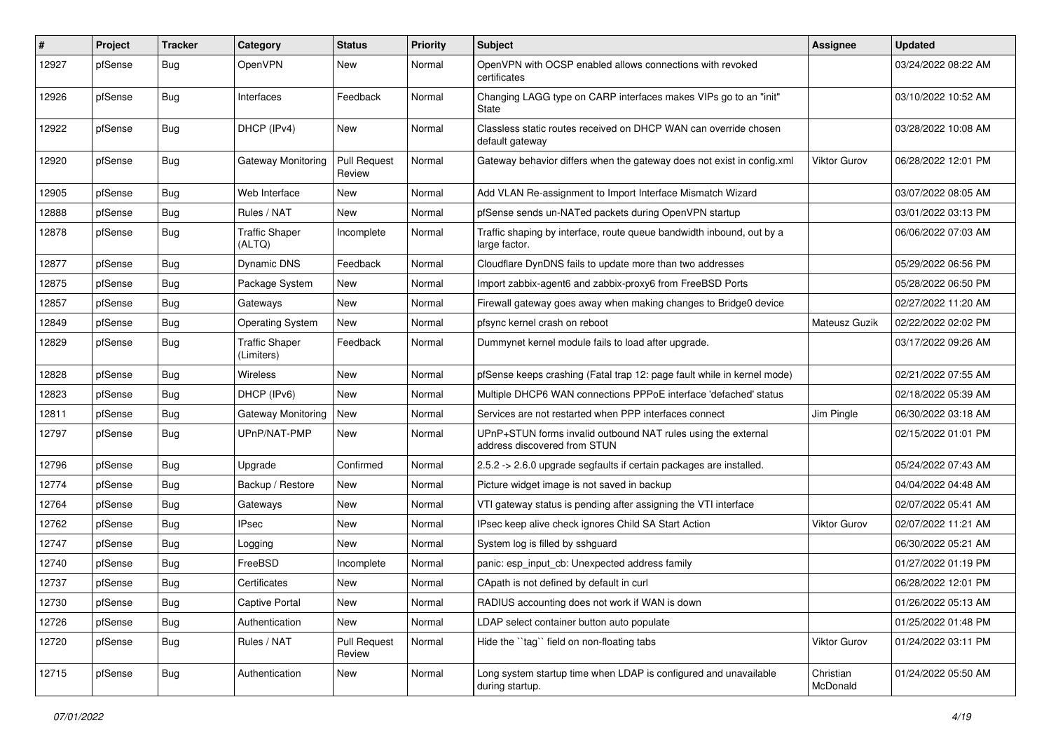| $\sharp$ | Project | <b>Tracker</b> | Category                            | <b>Status</b>                 | <b>Priority</b> | <b>Subject</b>                                                                                | Assignee              | <b>Updated</b>      |
|----------|---------|----------------|-------------------------------------|-------------------------------|-----------------|-----------------------------------------------------------------------------------------------|-----------------------|---------------------|
| 12927    | pfSense | Bug            | OpenVPN                             | New                           | Normal          | OpenVPN with OCSP enabled allows connections with revoked<br>certificates                     |                       | 03/24/2022 08:22 AM |
| 12926    | pfSense | Bug            | Interfaces                          | Feedback                      | Normal          | Changing LAGG type on CARP interfaces makes VIPs go to an "init"<br>State                     |                       | 03/10/2022 10:52 AM |
| 12922    | pfSense | Bug            | DHCP (IPv4)                         | New                           | Normal          | Classless static routes received on DHCP WAN can override chosen<br>default gateway           |                       | 03/28/2022 10:08 AM |
| 12920    | pfSense | Bug            | <b>Gateway Monitoring</b>           | Pull Request<br>Review        | Normal          | Gateway behavior differs when the gateway does not exist in config.xml                        | Viktor Gurov          | 06/28/2022 12:01 PM |
| 12905    | pfSense | Bug            | Web Interface                       | New                           | Normal          | Add VLAN Re-assignment to Import Interface Mismatch Wizard                                    |                       | 03/07/2022 08:05 AM |
| 12888    | pfSense | Bug            | Rules / NAT                         | <b>New</b>                    | Normal          | pfSense sends un-NATed packets during OpenVPN startup                                         |                       | 03/01/2022 03:13 PM |
| 12878    | pfSense | <b>Bug</b>     | <b>Traffic Shaper</b><br>(ALTQ)     | Incomplete                    | Normal          | Traffic shaping by interface, route queue bandwidth inbound, out by a<br>large factor.        |                       | 06/06/2022 07:03 AM |
| 12877    | pfSense | Bug            | <b>Dynamic DNS</b>                  | Feedback                      | Normal          | Cloudflare DynDNS fails to update more than two addresses                                     |                       | 05/29/2022 06:56 PM |
| 12875    | pfSense | <b>Bug</b>     | Package System                      | New                           | Normal          | Import zabbix-agent6 and zabbix-proxy6 from FreeBSD Ports                                     |                       | 05/28/2022 06:50 PM |
| 12857    | pfSense | <b>Bug</b>     | Gateways                            | New                           | Normal          | Firewall gateway goes away when making changes to Bridge0 device                              |                       | 02/27/2022 11:20 AM |
| 12849    | pfSense | Bug            | <b>Operating System</b>             | <b>New</b>                    | Normal          | pfsync kernel crash on reboot                                                                 | <b>Mateusz Guzik</b>  | 02/22/2022 02:02 PM |
| 12829    | pfSense | <b>Bug</b>     | <b>Traffic Shaper</b><br>(Limiters) | Feedback                      | Normal          | Dummynet kernel module fails to load after upgrade.                                           |                       | 03/17/2022 09:26 AM |
| 12828    | pfSense | Bug            | Wireless                            | New                           | Normal          | pfSense keeps crashing (Fatal trap 12: page fault while in kernel mode)                       |                       | 02/21/2022 07:55 AM |
| 12823    | pfSense | <b>Bug</b>     | DHCP (IPv6)                         | New                           | Normal          | Multiple DHCP6 WAN connections PPPoE interface 'defached' status                              |                       | 02/18/2022 05:39 AM |
| 12811    | pfSense | <b>Bug</b>     | <b>Gateway Monitoring</b>           | <b>New</b>                    | Normal          | Services are not restarted when PPP interfaces connect                                        | Jim Pingle            | 06/30/2022 03:18 AM |
| 12797    | pfSense | <b>Bug</b>     | UPnP/NAT-PMP                        | New                           | Normal          | UPnP+STUN forms invalid outbound NAT rules using the external<br>address discovered from STUN |                       | 02/15/2022 01:01 PM |
| 12796    | pfSense | Bug            | Upgrade                             | Confirmed                     | Normal          | 2.5.2 -> 2.6.0 upgrade segfaults if certain packages are installed.                           |                       | 05/24/2022 07:43 AM |
| 12774    | pfSense | Bug            | Backup / Restore                    | New                           | Normal          | Picture widget image is not saved in backup                                                   |                       | 04/04/2022 04:48 AM |
| 12764    | pfSense | Bug            | Gateways                            | New                           | Normal          | VTI gateway status is pending after assigning the VTI interface                               |                       | 02/07/2022 05:41 AM |
| 12762    | pfSense | <b>Bug</b>     | <b>IPsec</b>                        | New                           | Normal          | IPsec keep alive check ignores Child SA Start Action                                          | Viktor Gurov          | 02/07/2022 11:21 AM |
| 12747    | pfSense | <b>Bug</b>     | Logging                             | New                           | Normal          | System log is filled by sshquard                                                              |                       | 06/30/2022 05:21 AM |
| 12740    | pfSense | <b>Bug</b>     | FreeBSD                             | Incomplete                    | Normal          | panic: esp input cb: Unexpected address family                                                |                       | 01/27/2022 01:19 PM |
| 12737    | pfSense | <b>Bug</b>     | Certificates                        | New                           | Normal          | CApath is not defined by default in curl                                                      |                       | 06/28/2022 12:01 PM |
| 12730    | pfSense | <b>Bug</b>     | <b>Captive Portal</b>               | New                           | Normal          | RADIUS accounting does not work if WAN is down                                                |                       | 01/26/2022 05:13 AM |
| 12726    | pfSense | <b>Bug</b>     | Authentication                      | New                           | Normal          | LDAP select container button auto populate                                                    |                       | 01/25/2022 01:48 PM |
| 12720    | pfSense | <b>Bug</b>     | Rules / NAT                         | <b>Pull Request</b><br>Review | Normal          | Hide the "tag" field on non-floating tabs                                                     | Viktor Gurov          | 01/24/2022 03:11 PM |
| 12715    | pfSense | <b>Bug</b>     | Authentication                      | New                           | Normal          | Long system startup time when LDAP is configured and unavailable<br>during startup.           | Christian<br>McDonald | 01/24/2022 05:50 AM |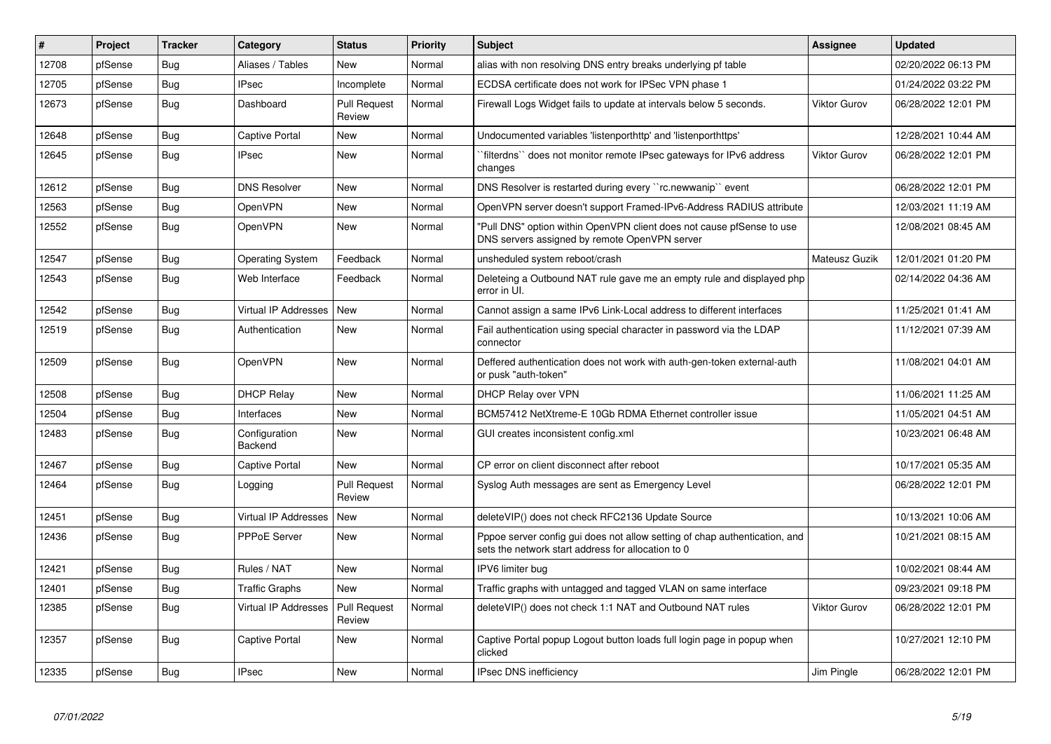| $\sharp$ | Project | <b>Tracker</b> | Category                    | <b>Status</b>                 | <b>Priority</b> | <b>Subject</b>                                                                                                                   | <b>Assignee</b>     | <b>Updated</b>      |
|----------|---------|----------------|-----------------------------|-------------------------------|-----------------|----------------------------------------------------------------------------------------------------------------------------------|---------------------|---------------------|
| 12708    | pfSense | Bug            | Aliases / Tables            | <b>New</b>                    | Normal          | alias with non resolving DNS entry breaks underlying pf table                                                                    |                     | 02/20/2022 06:13 PM |
| 12705    | pfSense | <b>Bug</b>     | <b>IPsec</b>                | Incomplete                    | Normal          | ECDSA certificate does not work for IPSec VPN phase 1                                                                            |                     | 01/24/2022 03:22 PM |
| 12673    | pfSense | <b>Bug</b>     | Dashboard                   | <b>Pull Request</b><br>Review | Normal          | Firewall Logs Widget fails to update at intervals below 5 seconds.                                                               | <b>Viktor Gurov</b> | 06/28/2022 12:01 PM |
| 12648    | pfSense | Bug            | <b>Captive Portal</b>       | <b>New</b>                    | Normal          | Undocumented variables 'listenporthttp' and 'listenporthttps'                                                                    |                     | 12/28/2021 10:44 AM |
| 12645    | pfSense | <b>Bug</b>     | <b>IPsec</b>                | <b>New</b>                    | Normal          | "filterdns" does not monitor remote IPsec gateways for IPv6 address<br>changes                                                   | <b>Viktor Gurov</b> | 06/28/2022 12:01 PM |
| 12612    | pfSense | <b>Bug</b>     | <b>DNS Resolver</b>         | <b>New</b>                    | Normal          | DNS Resolver is restarted during every "rc.newwanip" event                                                                       |                     | 06/28/2022 12:01 PM |
| 12563    | pfSense | <b>Bug</b>     | <b>OpenVPN</b>              | <b>New</b>                    | Normal          | OpenVPN server doesn't support Framed-IPv6-Address RADIUS attribute                                                              |                     | 12/03/2021 11:19 AM |
| 12552    | pfSense | <b>Bug</b>     | <b>OpenVPN</b>              | <b>New</b>                    | Normal          | "Pull DNS" option within OpenVPN client does not cause pfSense to use<br>DNS servers assigned by remote OpenVPN server           |                     | 12/08/2021 08:45 AM |
| 12547    | pfSense | <b>Bug</b>     | <b>Operating System</b>     | Feedback                      | Normal          | unsheduled system reboot/crash                                                                                                   | Mateusz Guzik       | 12/01/2021 01:20 PM |
| 12543    | pfSense | <b>Bug</b>     | Web Interface               | Feedback                      | Normal          | Deleteing a Outbound NAT rule gave me an empty rule and displayed php<br>error in UI.                                            |                     | 02/14/2022 04:36 AM |
| 12542    | pfSense | Bug            | <b>Virtual IP Addresses</b> | New                           | Normal          | Cannot assign a same IPv6 Link-Local address to different interfaces                                                             |                     | 11/25/2021 01:41 AM |
| 12519    | pfSense | Bug            | Authentication              | <b>New</b>                    | Normal          | Fail authentication using special character in password via the LDAP<br>connector                                                |                     | 11/12/2021 07:39 AM |
| 12509    | pfSense | <b>Bug</b>     | <b>OpenVPN</b>              | New                           | Normal          | Deffered authentication does not work with auth-gen-token external-auth<br>or pusk "auth-token"                                  |                     | 11/08/2021 04:01 AM |
| 12508    | pfSense | Bug            | <b>DHCP Relay</b>           | <b>New</b>                    | Normal          | DHCP Relay over VPN                                                                                                              |                     | 11/06/2021 11:25 AM |
| 12504    | pfSense | Bug            | Interfaces                  | <b>New</b>                    | Normal          | BCM57412 NetXtreme-E 10Gb RDMA Ethernet controller issue                                                                         |                     | 11/05/2021 04:51 AM |
| 12483    | pfSense | <b>Bug</b>     | Configuration<br>Backend    | <b>New</b>                    | Normal          | GUI creates inconsistent config.xml                                                                                              |                     | 10/23/2021 06:48 AM |
| 12467    | pfSense | <b>Bug</b>     | Captive Portal              | <b>New</b>                    | Normal          | CP error on client disconnect after reboot                                                                                       |                     | 10/17/2021 05:35 AM |
| 12464    | pfSense | <b>Bug</b>     | Logging                     | <b>Pull Request</b><br>Review | Normal          | Syslog Auth messages are sent as Emergency Level                                                                                 |                     | 06/28/2022 12:01 PM |
| 12451    | pfSense | <b>Bug</b>     | <b>Virtual IP Addresses</b> | <b>New</b>                    | Normal          | deleteVIP() does not check RFC2136 Update Source                                                                                 |                     | 10/13/2021 10:06 AM |
| 12436    | pfSense | <b>Bug</b>     | <b>PPPoE Server</b>         | New                           | Normal          | Pppoe server config gui does not allow setting of chap authentication, and<br>sets the network start address for allocation to 0 |                     | 10/21/2021 08:15 AM |
| 12421    | pfSense | <b>Bug</b>     | Rules / NAT                 | <b>New</b>                    | Normal          | IPV6 limiter bug                                                                                                                 |                     | 10/02/2021 08:44 AM |
| 12401    | pfSense | <b>Bug</b>     | Traffic Graphs              | New                           | Normal          | Traffic graphs with untagged and tagged VLAN on same interface                                                                   |                     | 09/23/2021 09:18 PM |
| 12385    | pfSense | <b>Bug</b>     | <b>Virtual IP Addresses</b> | Pull Request<br>Review        | Normal          | deleteVIP() does not check 1:1 NAT and Outbound NAT rules                                                                        | <b>Viktor Gurov</b> | 06/28/2022 12:01 PM |
| 12357    | pfSense | Bug            | Captive Portal              | <b>New</b>                    | Normal          | Captive Portal popup Logout button loads full login page in popup when<br>clicked                                                |                     | 10/27/2021 12:10 PM |
| 12335    | pfSense | <b>Bug</b>     | <b>IPsec</b>                | <b>New</b>                    | Normal          | IPsec DNS inefficiency                                                                                                           | Jim Pingle          | 06/28/2022 12:01 PM |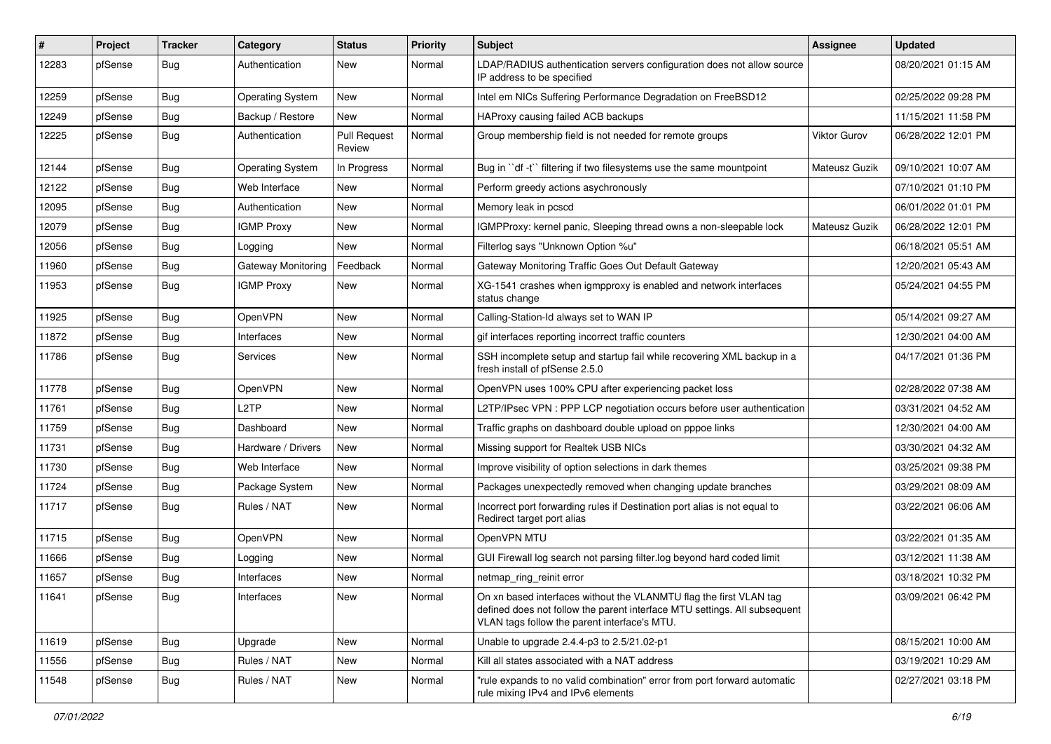| $\#$  | Project | <b>Tracker</b> | Category                | <b>Status</b>                 | <b>Priority</b> | <b>Subject</b>                                                                                                                                                                                  | Assignee            | <b>Updated</b>      |
|-------|---------|----------------|-------------------------|-------------------------------|-----------------|-------------------------------------------------------------------------------------------------------------------------------------------------------------------------------------------------|---------------------|---------------------|
| 12283 | pfSense | Bug            | Authentication          | New                           | Normal          | LDAP/RADIUS authentication servers configuration does not allow source<br>IP address to be specified                                                                                            |                     | 08/20/2021 01:15 AM |
| 12259 | pfSense | <b>Bug</b>     | <b>Operating System</b> | New                           | Normal          | Intel em NICs Suffering Performance Degradation on FreeBSD12                                                                                                                                    |                     | 02/25/2022 09:28 PM |
| 12249 | pfSense | <b>Bug</b>     | Backup / Restore        | New                           | Normal          | HAProxy causing failed ACB backups                                                                                                                                                              |                     | 11/15/2021 11:58 PM |
| 12225 | pfSense | <b>Bug</b>     | Authentication          | <b>Pull Request</b><br>Review | Normal          | Group membership field is not needed for remote groups                                                                                                                                          | <b>Viktor Gurov</b> | 06/28/2022 12:01 PM |
| 12144 | pfSense | <b>Bug</b>     | <b>Operating System</b> | In Progress                   | Normal          | Bug in "df -t" filtering if two filesystems use the same mountpoint                                                                                                                             | Mateusz Guzik       | 09/10/2021 10:07 AM |
| 12122 | pfSense | <b>Bug</b>     | Web Interface           | New                           | Normal          | Perform greedy actions asychronously                                                                                                                                                            |                     | 07/10/2021 01:10 PM |
| 12095 | pfSense | <b>Bug</b>     | Authentication          | New                           | Normal          | Memory leak in pcscd                                                                                                                                                                            |                     | 06/01/2022 01:01 PM |
| 12079 | pfSense | <b>Bug</b>     | <b>IGMP Proxy</b>       | New                           | Normal          | IGMPProxy: kernel panic, Sleeping thread owns a non-sleepable lock                                                                                                                              | Mateusz Guzik       | 06/28/2022 12:01 PM |
| 12056 | pfSense | <b>Bug</b>     | Logging                 | New                           | Normal          | Filterlog says "Unknown Option %u"                                                                                                                                                              |                     | 06/18/2021 05:51 AM |
| 11960 | pfSense | <b>Bug</b>     | Gateway Monitoring      | Feedback                      | Normal          | Gateway Monitoring Traffic Goes Out Default Gateway                                                                                                                                             |                     | 12/20/2021 05:43 AM |
| 11953 | pfSense | <b>Bug</b>     | <b>IGMP Proxy</b>       | New                           | Normal          | XG-1541 crashes when igmpproxy is enabled and network interfaces<br>status change                                                                                                               |                     | 05/24/2021 04:55 PM |
| 11925 | pfSense | <b>Bug</b>     | <b>OpenVPN</b>          | New                           | Normal          | Calling-Station-Id always set to WAN IP                                                                                                                                                         |                     | 05/14/2021 09:27 AM |
| 11872 | pfSense | <b>Bug</b>     | Interfaces              | New                           | Normal          | gif interfaces reporting incorrect traffic counters                                                                                                                                             |                     | 12/30/2021 04:00 AM |
| 11786 | pfSense | Bug            | Services                | New                           | Normal          | SSH incomplete setup and startup fail while recovering XML backup in a<br>fresh install of pfSense 2.5.0                                                                                        |                     | 04/17/2021 01:36 PM |
| 11778 | pfSense | <b>Bug</b>     | OpenVPN                 | New                           | Normal          | OpenVPN uses 100% CPU after experiencing packet loss                                                                                                                                            |                     | 02/28/2022 07:38 AM |
| 11761 | pfSense | <b>Bug</b>     | L2TP                    | New                           | Normal          | L2TP/IPsec VPN : PPP LCP negotiation occurs before user authentication                                                                                                                          |                     | 03/31/2021 04:52 AM |
| 11759 | pfSense | <b>Bug</b>     | Dashboard               | New                           | Normal          | Traffic graphs on dashboard double upload on pppoe links                                                                                                                                        |                     | 12/30/2021 04:00 AM |
| 11731 | pfSense | <b>Bug</b>     | Hardware / Drivers      | New                           | Normal          | Missing support for Realtek USB NICs                                                                                                                                                            |                     | 03/30/2021 04:32 AM |
| 11730 | pfSense | <b>Bug</b>     | Web Interface           | <b>New</b>                    | Normal          | Improve visibility of option selections in dark themes                                                                                                                                          |                     | 03/25/2021 09:38 PM |
| 11724 | pfSense | <b>Bug</b>     | Package System          | New                           | Normal          | Packages unexpectedly removed when changing update branches                                                                                                                                     |                     | 03/29/2021 08:09 AM |
| 11717 | pfSense | Bug            | Rules / NAT             | New                           | Normal          | Incorrect port forwarding rules if Destination port alias is not equal to<br>Redirect target port alias                                                                                         |                     | 03/22/2021 06:06 AM |
| 11715 | pfSense | <b>Bug</b>     | OpenVPN                 | New                           | Normal          | OpenVPN MTU                                                                                                                                                                                     |                     | 03/22/2021 01:35 AM |
| 11666 | pfSense | <b>Bug</b>     | Logging                 | New                           | Normal          | GUI Firewall log search not parsing filter.log beyond hard coded limit                                                                                                                          |                     | 03/12/2021 11:38 AM |
| 11657 | pfSense | <b>Bug</b>     | Interfaces              | New                           | Normal          | netmap_ring_reinit error                                                                                                                                                                        |                     | 03/18/2021 10:32 PM |
| 11641 | ptSense | Bug            | Interfaces              | New                           | Normal          | On xn based interfaces without the VLANMTU flag the first VLAN tag<br>defined does not follow the parent interface MTU settings. All subsequent<br>VLAN tags follow the parent interface's MTU. |                     | 03/09/2021 06:42 PM |
| 11619 | pfSense | <b>Bug</b>     | Upgrade                 | New                           | Normal          | Unable to upgrade 2.4.4-p3 to 2.5/21.02-p1                                                                                                                                                      |                     | 08/15/2021 10:00 AM |
| 11556 | pfSense | Bug            | Rules / NAT             | New                           | Normal          | Kill all states associated with a NAT address                                                                                                                                                   |                     | 03/19/2021 10:29 AM |
| 11548 | pfSense | <b>Bug</b>     | Rules / NAT             | New                           | Normal          | "rule expands to no valid combination" error from port forward automatic<br>rule mixing IPv4 and IPv6 elements                                                                                  |                     | 02/27/2021 03:18 PM |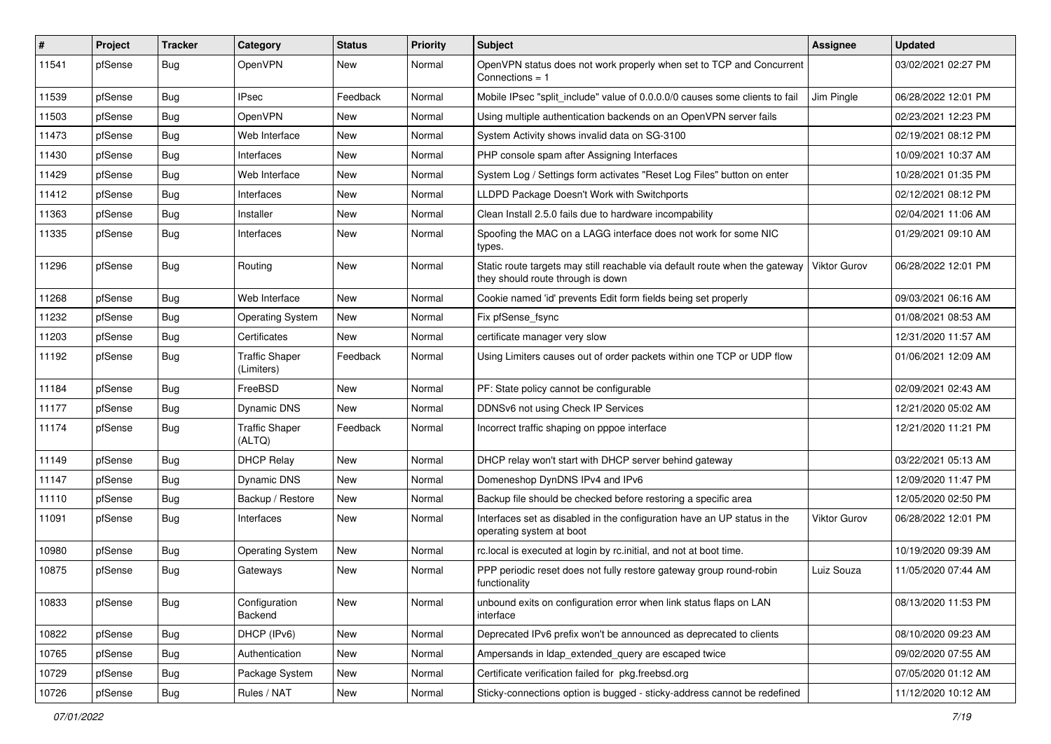| $\vert$ # | Project | <b>Tracker</b> | Category                            | <b>Status</b> | <b>Priority</b> | <b>Subject</b>                                                                                                   | <b>Assignee</b>     | <b>Updated</b>      |
|-----------|---------|----------------|-------------------------------------|---------------|-----------------|------------------------------------------------------------------------------------------------------------------|---------------------|---------------------|
| 11541     | pfSense | <b>Bug</b>     | OpenVPN                             | New           | Normal          | OpenVPN status does not work properly when set to TCP and Concurrent<br>Connections $= 1$                        |                     | 03/02/2021 02:27 PM |
| 11539     | pfSense | Bug            | <b>IPsec</b>                        | Feedback      | Normal          | Mobile IPsec "split_include" value of 0.0.0.0/0 causes some clients to fail                                      | Jim Pingle          | 06/28/2022 12:01 PM |
| 11503     | pfSense | <b>Bug</b>     | <b>OpenVPN</b>                      | New           | Normal          | Using multiple authentication backends on an OpenVPN server fails                                                |                     | 02/23/2021 12:23 PM |
| 11473     | pfSense | <b>Bug</b>     | Web Interface                       | New           | Normal          | System Activity shows invalid data on SG-3100                                                                    |                     | 02/19/2021 08:12 PM |
| 11430     | pfSense | <b>Bug</b>     | Interfaces                          | New           | Normal          | PHP console spam after Assigning Interfaces                                                                      |                     | 10/09/2021 10:37 AM |
| 11429     | pfSense | Bug            | Web Interface                       | New           | Normal          | System Log / Settings form activates "Reset Log Files" button on enter                                           |                     | 10/28/2021 01:35 PM |
| 11412     | pfSense | <b>Bug</b>     | Interfaces                          | <b>New</b>    | Normal          | LLDPD Package Doesn't Work with Switchports                                                                      |                     | 02/12/2021 08:12 PM |
| 11363     | pfSense | <b>Bug</b>     | Installer                           | New           | Normal          | Clean Install 2.5.0 fails due to hardware incompability                                                          |                     | 02/04/2021 11:06 AM |
| 11335     | pfSense | Bug            | Interfaces                          | New           | Normal          | Spoofing the MAC on a LAGG interface does not work for some NIC<br>types.                                        |                     | 01/29/2021 09:10 AM |
| 11296     | pfSense | Bug            | Routing                             | New           | Normal          | Static route targets may still reachable via default route when the gateway<br>they should route through is down | <b>Viktor Gurov</b> | 06/28/2022 12:01 PM |
| 11268     | pfSense | <b>Bug</b>     | Web Interface                       | <b>New</b>    | Normal          | Cookie named 'id' prevents Edit form fields being set properly                                                   |                     | 09/03/2021 06:16 AM |
| 11232     | pfSense | <b>Bug</b>     | <b>Operating System</b>             | New           | Normal          | Fix pfSense_fsync                                                                                                |                     | 01/08/2021 08:53 AM |
| 11203     | pfSense | Bug            | Certificates                        | <b>New</b>    | Normal          | certificate manager very slow                                                                                    |                     | 12/31/2020 11:57 AM |
| 11192     | pfSense | <b>Bug</b>     | <b>Traffic Shaper</b><br>(Limiters) | Feedback      | Normal          | Using Limiters causes out of order packets within one TCP or UDP flow                                            |                     | 01/06/2021 12:09 AM |
| 11184     | pfSense | <b>Bug</b>     | FreeBSD                             | New           | Normal          | PF: State policy cannot be configurable                                                                          |                     | 02/09/2021 02:43 AM |
| 11177     | pfSense | <b>Bug</b>     | Dynamic DNS                         | <b>New</b>    | Normal          | DDNSv6 not using Check IP Services                                                                               |                     | 12/21/2020 05:02 AM |
| 11174     | pfSense | Bug            | <b>Traffic Shaper</b><br>(ALTQ)     | Feedback      | Normal          | Incorrect traffic shaping on pppoe interface                                                                     |                     | 12/21/2020 11:21 PM |
| 11149     | pfSense | <b>Bug</b>     | <b>DHCP Relay</b>                   | <b>New</b>    | Normal          | DHCP relay won't start with DHCP server behind gateway                                                           |                     | 03/22/2021 05:13 AM |
| 11147     | pfSense | Bug            | <b>Dynamic DNS</b>                  | <b>New</b>    | Normal          | Domeneshop DynDNS IPv4 and IPv6                                                                                  |                     | 12/09/2020 11:47 PM |
| 11110     | pfSense | <b>Bug</b>     | Backup / Restore                    | New           | Normal          | Backup file should be checked before restoring a specific area                                                   |                     | 12/05/2020 02:50 PM |
| 11091     | pfSense | <b>Bug</b>     | Interfaces                          | <b>New</b>    | Normal          | Interfaces set as disabled in the configuration have an UP status in the<br>operating system at boot             | <b>Viktor Gurov</b> | 06/28/2022 12:01 PM |
| 10980     | pfSense | Bug            | <b>Operating System</b>             | New           | Normal          | rc.local is executed at login by rc.initial, and not at boot time.                                               |                     | 10/19/2020 09:39 AM |
| 10875     | pfSense | <b>Bug</b>     | Gateways                            | <b>New</b>    | Normal          | PPP periodic reset does not fully restore gateway group round-robin<br>functionality                             | Luiz Souza          | 11/05/2020 07:44 AM |
| 10833     | pfSense | <b>Bug</b>     | Configuration<br>Backend            | New           | Normal          | unbound exits on configuration error when link status flaps on LAN<br>interface                                  |                     | 08/13/2020 11:53 PM |
| 10822     | pfSense | <b>Bug</b>     | DHCP (IPv6)                         | New           | Normal          | Deprecated IPv6 prefix won't be announced as deprecated to clients                                               |                     | 08/10/2020 09:23 AM |
| 10765     | pfSense | <b>Bug</b>     | Authentication                      | New           | Normal          | Ampersands in Idap extended query are escaped twice                                                              |                     | 09/02/2020 07:55 AM |
| 10729     | pfSense | Bug            | Package System                      | New           | Normal          | Certificate verification failed for pkg.freebsd.org                                                              |                     | 07/05/2020 01:12 AM |
| 10726     | pfSense | Bug            | Rules / NAT                         | New           | Normal          | Sticky-connections option is bugged - sticky-address cannot be redefined                                         |                     | 11/12/2020 10:12 AM |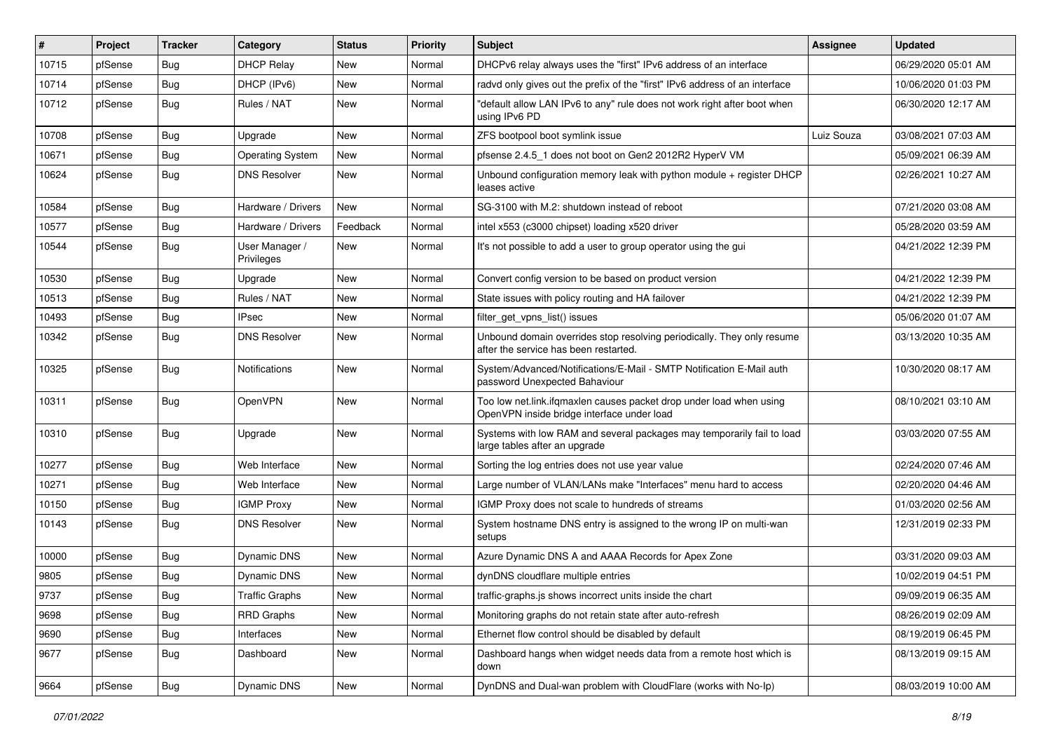| #     | Project | <b>Tracker</b> | Category                     | <b>Status</b> | <b>Priority</b> | <b>Subject</b>                                                                                                    | Assignee   | <b>Updated</b>      |
|-------|---------|----------------|------------------------------|---------------|-----------------|-------------------------------------------------------------------------------------------------------------------|------------|---------------------|
| 10715 | pfSense | <b>Bug</b>     | <b>DHCP Relay</b>            | New           | Normal          | DHCPv6 relay always uses the "first" IPv6 address of an interface                                                 |            | 06/29/2020 05:01 AM |
| 10714 | pfSense | Bug            | DHCP (IPv6)                  | New           | Normal          | radyd only gives out the prefix of the "first" IPv6 address of an interface                                       |            | 10/06/2020 01:03 PM |
| 10712 | pfSense | Bug            | Rules / NAT                  | New           | Normal          | "default allow LAN IPv6 to any" rule does not work right after boot when<br>using IPv6 PD                         |            | 06/30/2020 12:17 AM |
| 10708 | pfSense | <b>Bug</b>     | Upgrade                      | New           | Normal          | ZFS bootpool boot symlink issue                                                                                   | Luiz Souza | 03/08/2021 07:03 AM |
| 10671 | pfSense | Bug            | <b>Operating System</b>      | New           | Normal          | pfsense 2.4.5_1 does not boot on Gen2 2012R2 HyperV VM                                                            |            | 05/09/2021 06:39 AM |
| 10624 | pfSense | <b>Bug</b>     | <b>DNS Resolver</b>          | New           | Normal          | Unbound configuration memory leak with python module + register DHCP<br>leases active                             |            | 02/26/2021 10:27 AM |
| 10584 | pfSense | Bug            | Hardware / Drivers           | New           | Normal          | SG-3100 with M.2: shutdown instead of reboot                                                                      |            | 07/21/2020 03:08 AM |
| 10577 | pfSense | Bug            | Hardware / Drivers           | Feedback      | Normal          | intel x553 (c3000 chipset) loading x520 driver                                                                    |            | 05/28/2020 03:59 AM |
| 10544 | pfSense | <b>Bug</b>     | User Manager /<br>Privileges | New           | Normal          | It's not possible to add a user to group operator using the gui                                                   |            | 04/21/2022 12:39 PM |
| 10530 | pfSense | Bug            | Upgrade                      | New           | Normal          | Convert config version to be based on product version                                                             |            | 04/21/2022 12:39 PM |
| 10513 | pfSense | <b>Bug</b>     | Rules / NAT                  | New           | Normal          | State issues with policy routing and HA failover                                                                  |            | 04/21/2022 12:39 PM |
| 10493 | pfSense | <b>Bug</b>     | IPsec                        | New           | Normal          | filter_get_vpns_list() issues                                                                                     |            | 05/06/2020 01:07 AM |
| 10342 | pfSense | Bug            | <b>DNS Resolver</b>          | New           | Normal          | Unbound domain overrides stop resolving periodically. They only resume<br>after the service has been restarted.   |            | 03/13/2020 10:35 AM |
| 10325 | pfSense | Bug            | Notifications                | New           | Normal          | System/Advanced/Notifications/E-Mail - SMTP Notification E-Mail auth<br>password Unexpected Bahaviour             |            | 10/30/2020 08:17 AM |
| 10311 | pfSense | Bug            | OpenVPN                      | New           | Normal          | Too low net.link.ifqmaxlen causes packet drop under load when using<br>OpenVPN inside bridge interface under load |            | 08/10/2021 03:10 AM |
| 10310 | pfSense | Bug            | Upgrade                      | New           | Normal          | Systems with low RAM and several packages may temporarily fail to load<br>large tables after an upgrade           |            | 03/03/2020 07:55 AM |
| 10277 | pfSense | <b>Bug</b>     | Web Interface                | New           | Normal          | Sorting the log entries does not use year value                                                                   |            | 02/24/2020 07:46 AM |
| 10271 | pfSense | <b>Bug</b>     | Web Interface                | New           | Normal          | Large number of VLAN/LANs make "Interfaces" menu hard to access                                                   |            | 02/20/2020 04:46 AM |
| 10150 | pfSense | <b>Bug</b>     | <b>IGMP Proxy</b>            | New           | Normal          | IGMP Proxy does not scale to hundreds of streams                                                                  |            | 01/03/2020 02:56 AM |
| 10143 | pfSense | Bug            | <b>DNS Resolver</b>          | <b>New</b>    | Normal          | System hostname DNS entry is assigned to the wrong IP on multi-wan<br>setups                                      |            | 12/31/2019 02:33 PM |
| 10000 | pfSense | <b>Bug</b>     | Dynamic DNS                  | New           | Normal          | Azure Dynamic DNS A and AAAA Records for Apex Zone                                                                |            | 03/31/2020 09:03 AM |
| 9805  | pfSense | <b>Bug</b>     | <b>Dynamic DNS</b>           | New           | Normal          | dynDNS cloudflare multiple entries                                                                                |            | 10/02/2019 04:51 PM |
| 9737  | pfSense | <b>Bug</b>     | <b>Traffic Graphs</b>        | New           | Normal          | traffic-graphs.js shows incorrect units inside the chart                                                          |            | 09/09/2019 06:35 AM |
| 9698  | pfSense | <b>Bug</b>     | <b>RRD Graphs</b>            | New           | Normal          | Monitoring graphs do not retain state after auto-refresh                                                          |            | 08/26/2019 02:09 AM |
| 9690  | pfSense | <b>Bug</b>     | Interfaces                   | New           | Normal          | Ethernet flow control should be disabled by default                                                               |            | 08/19/2019 06:45 PM |
| 9677  | pfSense | <b>Bug</b>     | Dashboard                    | New           | Normal          | Dashboard hangs when widget needs data from a remote host which is<br>down                                        |            | 08/13/2019 09:15 AM |
| 9664  | pfSense | <b>Bug</b>     | Dynamic DNS                  | New           | Normal          | DynDNS and Dual-wan problem with CloudFlare (works with No-Ip)                                                    |            | 08/03/2019 10:00 AM |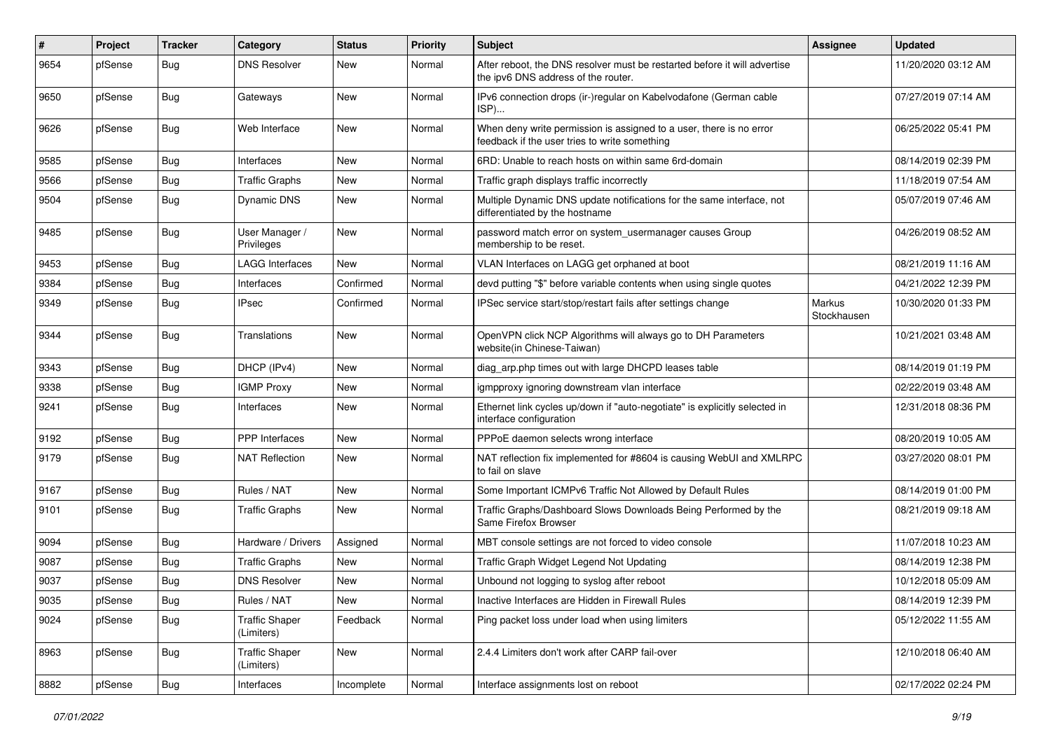| $\vert$ # | Project | <b>Tracker</b> | Category                            | <b>Status</b> | <b>Priority</b> | <b>Subject</b>                                                                                                       | <b>Assignee</b>       | <b>Updated</b>      |
|-----------|---------|----------------|-------------------------------------|---------------|-----------------|----------------------------------------------------------------------------------------------------------------------|-----------------------|---------------------|
| 9654      | pfSense | Bug            | <b>DNS Resolver</b>                 | New           | Normal          | After reboot, the DNS resolver must be restarted before it will advertise<br>the ipv6 DNS address of the router.     |                       | 11/20/2020 03:12 AM |
| 9650      | pfSense | Bug            | Gateways                            | New           | Normal          | IPv6 connection drops (ir-)regular on Kabelvodafone (German cable<br>ISP)                                            |                       | 07/27/2019 07:14 AM |
| 9626      | pfSense | Bug            | Web Interface                       | New           | Normal          | When deny write permission is assigned to a user, there is no error<br>feedback if the user tries to write something |                       | 06/25/2022 05:41 PM |
| 9585      | pfSense | Bug            | Interfaces                          | New           | Normal          | 6RD: Unable to reach hosts on within same 6rd-domain                                                                 |                       | 08/14/2019 02:39 PM |
| 9566      | pfSense | Bug            | <b>Traffic Graphs</b>               | <b>New</b>    | Normal          | Traffic graph displays traffic incorrectly                                                                           |                       | 11/18/2019 07:54 AM |
| 9504      | pfSense | <b>Bug</b>     | Dynamic DNS                         | New           | Normal          | Multiple Dynamic DNS update notifications for the same interface, not<br>differentiated by the hostname              |                       | 05/07/2019 07:46 AM |
| 9485      | pfSense | <b>Bug</b>     | User Manager /<br>Privileges        | New           | Normal          | password match error on system_usermanager causes Group<br>membership to be reset.                                   |                       | 04/26/2019 08:52 AM |
| 9453      | pfSense | Bug            | <b>LAGG Interfaces</b>              | <b>New</b>    | Normal          | VLAN Interfaces on LAGG get orphaned at boot                                                                         |                       | 08/21/2019 11:16 AM |
| 9384      | pfSense | Bug            | Interfaces                          | Confirmed     | Normal          | devd putting "\$" before variable contents when using single quotes                                                  |                       | 04/21/2022 12:39 PM |
| 9349      | pfSense | <b>Bug</b>     | <b>IPsec</b>                        | Confirmed     | Normal          | IPSec service start/stop/restart fails after settings change                                                         | Markus<br>Stockhausen | 10/30/2020 01:33 PM |
| 9344      | pfSense | Bug            | Translations                        | <b>New</b>    | Normal          | OpenVPN click NCP Algorithms will always go to DH Parameters<br>website(in Chinese-Taiwan)                           |                       | 10/21/2021 03:48 AM |
| 9343      | pfSense | Bug            | DHCP (IPv4)                         | <b>New</b>    | Normal          | diag_arp.php times out with large DHCPD leases table                                                                 |                       | 08/14/2019 01:19 PM |
| 9338      | pfSense | <b>Bug</b>     | <b>IGMP Proxy</b>                   | New           | Normal          | igmpproxy ignoring downstream vlan interface                                                                         |                       | 02/22/2019 03:48 AM |
| 9241      | pfSense | <b>Bug</b>     | Interfaces                          | <b>New</b>    | Normal          | Ethernet link cycles up/down if "auto-negotiate" is explicitly selected in<br>interface configuration                |                       | 12/31/2018 08:36 PM |
| 9192      | pfSense | <b>Bug</b>     | <b>PPP</b> Interfaces               | New           | Normal          | PPPoE daemon selects wrong interface                                                                                 |                       | 08/20/2019 10:05 AM |
| 9179      | pfSense | <b>Bug</b>     | <b>NAT Reflection</b>               | New           | Normal          | NAT reflection fix implemented for #8604 is causing WebUI and XMLRPC<br>to fail on slave                             |                       | 03/27/2020 08:01 PM |
| 9167      | pfSense | Bug            | Rules / NAT                         | New           | Normal          | Some Important ICMPv6 Traffic Not Allowed by Default Rules                                                           |                       | 08/14/2019 01:00 PM |
| 9101      | pfSense | Bug            | <b>Traffic Graphs</b>               | New           | Normal          | Traffic Graphs/Dashboard Slows Downloads Being Performed by the<br>Same Firefox Browser                              |                       | 08/21/2019 09:18 AM |
| 9094      | pfSense | Bug            | Hardware / Drivers                  | Assigned      | Normal          | MBT console settings are not forced to video console                                                                 |                       | 11/07/2018 10:23 AM |
| 9087      | pfSense | <b>Bug</b>     | <b>Traffic Graphs</b>               | New           | Normal          | Traffic Graph Widget Legend Not Updating                                                                             |                       | 08/14/2019 12:38 PM |
| 9037      | pfSense | Bug            | <b>DNS Resolver</b>                 | <b>New</b>    | Normal          | Unbound not logging to syslog after reboot                                                                           |                       | 10/12/2018 05:09 AM |
| 9035      | pfSense | <b>Bug</b>     | Rules / NAT                         | New           | Normal          | Inactive Interfaces are Hidden in Firewall Rules                                                                     |                       | 08/14/2019 12:39 PM |
| 9024      | pfSense | Bug            | <b>Traffic Shaper</b><br>(Limiters) | Feedback      | Normal          | Ping packet loss under load when using limiters                                                                      |                       | 05/12/2022 11:55 AM |
| 8963      | pfSense | <b>Bug</b>     | <b>Traffic Shaper</b><br>(Limiters) | New           | Normal          | 2.4.4 Limiters don't work after CARP fail-over                                                                       |                       | 12/10/2018 06:40 AM |
| 8882      | pfSense | <b>Bug</b>     | Interfaces                          | Incomplete    | Normal          | Interface assignments lost on reboot                                                                                 |                       | 02/17/2022 02:24 PM |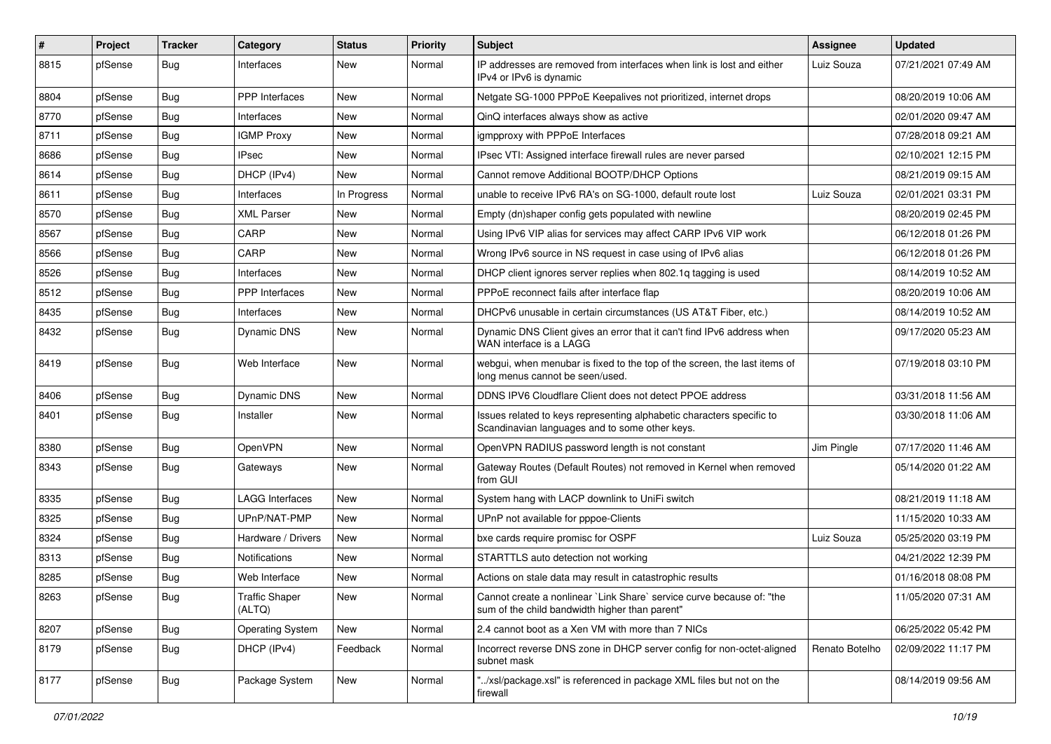| $\pmb{\sharp}$ | Project | <b>Tracker</b> | Category                        | <b>Status</b> | <b>Priority</b> | <b>Subject</b>                                                                                                          | <b>Assignee</b> | <b>Updated</b>      |
|----------------|---------|----------------|---------------------------------|---------------|-----------------|-------------------------------------------------------------------------------------------------------------------------|-----------------|---------------------|
| 8815           | pfSense | <b>Bug</b>     | Interfaces                      | New           | Normal          | IP addresses are removed from interfaces when link is lost and either<br>IPv4 or IPv6 is dynamic                        | Luiz Souza      | 07/21/2021 07:49 AM |
| 8804           | pfSense | Bug            | PPP Interfaces                  | New           | Normal          | Netgate SG-1000 PPPoE Keepalives not prioritized, internet drops                                                        |                 | 08/20/2019 10:06 AM |
| 8770           | pfSense | <b>Bug</b>     | Interfaces                      | New           | Normal          | QinQ interfaces always show as active                                                                                   |                 | 02/01/2020 09:47 AM |
| 8711           | pfSense | <b>Bug</b>     | <b>IGMP Proxy</b>               | New           | Normal          | igmpproxy with PPPoE Interfaces                                                                                         |                 | 07/28/2018 09:21 AM |
| 8686           | pfSense | Bug            | <b>IPsec</b>                    | <b>New</b>    | Normal          | IPsec VTI: Assigned interface firewall rules are never parsed                                                           |                 | 02/10/2021 12:15 PM |
| 8614           | pfSense | <b>Bug</b>     | DHCP (IPv4)                     | New           | Normal          | Cannot remove Additional BOOTP/DHCP Options                                                                             |                 | 08/21/2019 09:15 AM |
| 8611           | pfSense | <b>Bug</b>     | Interfaces                      | In Progress   | Normal          | unable to receive IPv6 RA's on SG-1000, default route lost                                                              | Luiz Souza      | 02/01/2021 03:31 PM |
| 8570           | pfSense | <b>Bug</b>     | <b>XML Parser</b>               | New           | Normal          | Empty (dn)shaper config gets populated with newline                                                                     |                 | 08/20/2019 02:45 PM |
| 8567           | pfSense | <b>Bug</b>     | CARP                            | <b>New</b>    | Normal          | Using IPv6 VIP alias for services may affect CARP IPv6 VIP work                                                         |                 | 06/12/2018 01:26 PM |
| 8566           | pfSense | Bug            | CARP                            | New           | Normal          | Wrong IPv6 source in NS request in case using of IPv6 alias                                                             |                 | 06/12/2018 01:26 PM |
| 8526           | pfSense | <b>Bug</b>     | Interfaces                      | New           | Normal          | DHCP client ignores server replies when 802.1q tagging is used                                                          |                 | 08/14/2019 10:52 AM |
| 8512           | pfSense | <b>Bug</b>     | PPP Interfaces                  | New           | Normal          | PPPoE reconnect fails after interface flap                                                                              |                 | 08/20/2019 10:06 AM |
| 8435           | pfSense | <b>Bug</b>     | Interfaces                      | New           | Normal          | DHCPv6 unusable in certain circumstances (US AT&T Fiber, etc.)                                                          |                 | 08/14/2019 10:52 AM |
| 8432           | pfSense | <b>Bug</b>     | Dynamic DNS                     | New           | Normal          | Dynamic DNS Client gives an error that it can't find IPv6 address when<br>WAN interface is a LAGG                       |                 | 09/17/2020 05:23 AM |
| 8419           | pfSense | <b>Bug</b>     | Web Interface                   | <b>New</b>    | Normal          | webgui, when menubar is fixed to the top of the screen, the last items of<br>long menus cannot be seen/used.            |                 | 07/19/2018 03:10 PM |
| 8406           | pfSense | <b>Bug</b>     | Dynamic DNS                     | New           | Normal          | DDNS IPV6 Cloudflare Client does not detect PPOE address                                                                |                 | 03/31/2018 11:56 AM |
| 8401           | pfSense | Bug            | Installer                       | New           | Normal          | Issues related to keys representing alphabetic characters specific to<br>Scandinavian languages and to some other keys. |                 | 03/30/2018 11:06 AM |
| 8380           | pfSense | Bug            | OpenVPN                         | New           | Normal          | OpenVPN RADIUS password length is not constant                                                                          | Jim Pingle      | 07/17/2020 11:46 AM |
| 8343           | pfSense | <b>Bug</b>     | Gateways                        | New           | Normal          | Gateway Routes (Default Routes) not removed in Kernel when removed<br>from GUI                                          |                 | 05/14/2020 01:22 AM |
| 8335           | pfSense | <b>Bug</b>     | <b>LAGG Interfaces</b>          | <b>New</b>    | Normal          | System hang with LACP downlink to UniFi switch                                                                          |                 | 08/21/2019 11:18 AM |
| 8325           | pfSense | <b>Bug</b>     | UPnP/NAT-PMP                    | New           | Normal          | UPnP not available for pppoe-Clients                                                                                    |                 | 11/15/2020 10:33 AM |
| 8324           | pfSense | <b>Bug</b>     | Hardware / Drivers              | New           | Normal          | bxe cards require promisc for OSPF                                                                                      | Luiz Souza      | 05/25/2020 03:19 PM |
| 8313           | pfSense | <b>Bug</b>     | <b>Notifications</b>            | New           | Normal          | STARTTLS auto detection not working                                                                                     |                 | 04/21/2022 12:39 PM |
| 8285           | pfSense | Bug            | Web Interface                   | <b>New</b>    | Normal          | Actions on stale data may result in catastrophic results                                                                |                 | 01/16/2018 08:08 PM |
| 8263           | pfSense | Bug            | <b>Traffic Shaper</b><br>(ALTQ) | New           | Normal          | Cannot create a nonlinear `Link Share` service curve because of: "the<br>sum of the child bandwidth higher than parent" |                 | 11/05/2020 07:31 AM |
| 8207           | pfSense | <b>Bug</b>     | <b>Operating System</b>         | New           | Normal          | 2.4 cannot boot as a Xen VM with more than 7 NICs                                                                       |                 | 06/25/2022 05:42 PM |
| 8179           | pfSense | <b>Bug</b>     | DHCP (IPv4)                     | Feedback      | Normal          | Incorrect reverse DNS zone in DHCP server config for non-octet-aligned<br>subnet mask                                   | Renato Botelho  | 02/09/2022 11:17 PM |
| 8177           | pfSense | <b>Bug</b>     | Package System                  | New           | Normal          | "/xsl/package.xsl" is referenced in package XML files but not on the<br>firewall                                        |                 | 08/14/2019 09:56 AM |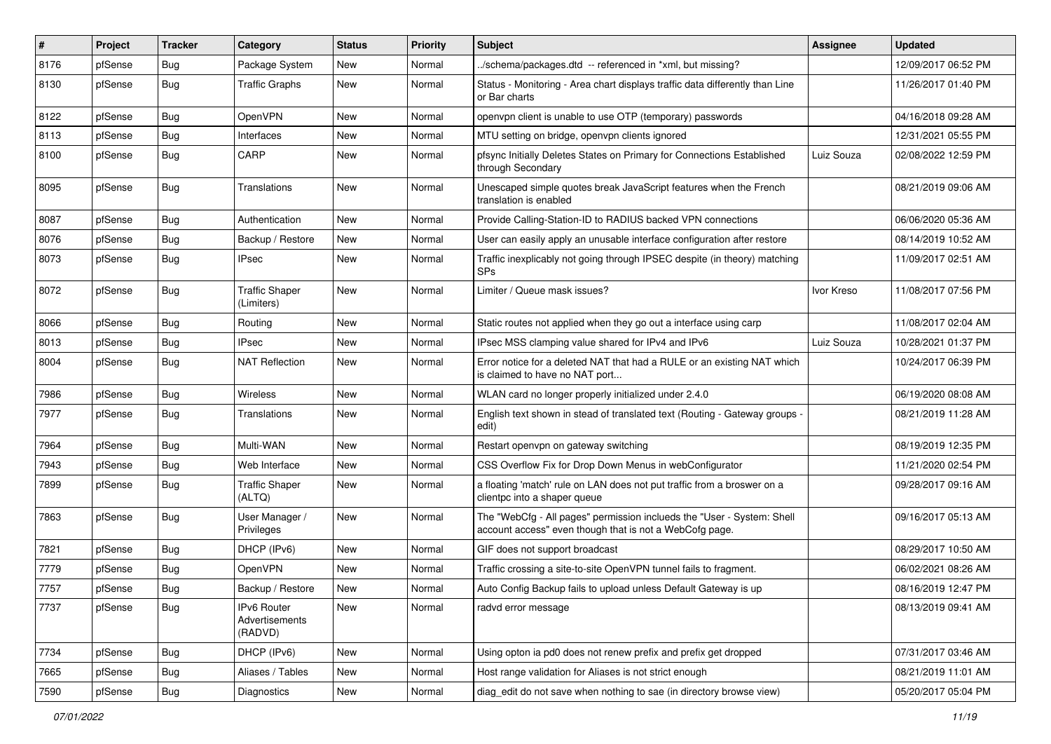| $\vert$ # | Project | <b>Tracker</b> | Category                                 | <b>Status</b> | <b>Priority</b> | <b>Subject</b>                                                                                                                    | Assignee   | <b>Updated</b>      |
|-----------|---------|----------------|------------------------------------------|---------------|-----------------|-----------------------------------------------------------------------------------------------------------------------------------|------------|---------------------|
| 8176      | pfSense | <b>Bug</b>     | Package System                           | New           | Normal          | /schema/packages.dtd -- referenced in *xml, but missing?                                                                          |            | 12/09/2017 06:52 PM |
| 8130      | pfSense | Bug            | <b>Traffic Graphs</b>                    | New           | Normal          | Status - Monitoring - Area chart displays traffic data differently than Line<br>or Bar charts                                     |            | 11/26/2017 01:40 PM |
| 8122      | pfSense | Bug            | OpenVPN                                  | New           | Normal          | openypn client is unable to use OTP (temporary) passwords                                                                         |            | 04/16/2018 09:28 AM |
| 8113      | pfSense | <b>Bug</b>     | Interfaces                               | New           | Normal          | MTU setting on bridge, openypn clients ignored                                                                                    |            | 12/31/2021 05:55 PM |
| 8100      | pfSense | <b>Bug</b>     | CARP                                     | New           | Normal          | pfsync Initially Deletes States on Primary for Connections Established<br>through Secondary                                       | Luiz Souza | 02/08/2022 12:59 PM |
| 8095      | pfSense | Bug            | Translations                             | New           | Normal          | Unescaped simple quotes break JavaScript features when the French<br>translation is enabled                                       |            | 08/21/2019 09:06 AM |
| 8087      | pfSense | Bug            | Authentication                           | New           | Normal          | Provide Calling-Station-ID to RADIUS backed VPN connections                                                                       |            | 06/06/2020 05:36 AM |
| 8076      | pfSense | <b>Bug</b>     | Backup / Restore                         | New           | Normal          | User can easily apply an unusable interface configuration after restore                                                           |            | 08/14/2019 10:52 AM |
| 8073      | pfSense | <b>Bug</b>     | <b>IPsec</b>                             | New           | Normal          | Traffic inexplicably not going through IPSEC despite (in theory) matching<br><b>SPs</b>                                           |            | 11/09/2017 02:51 AM |
| 8072      | pfSense | Bug            | <b>Traffic Shaper</b><br>(Limiters)      | New           | Normal          | Limiter / Queue mask issues?                                                                                                      | Ivor Kreso | 11/08/2017 07:56 PM |
| 8066      | pfSense | Bug            | Routing                                  | New           | Normal          | Static routes not applied when they go out a interface using carp                                                                 |            | 11/08/2017 02:04 AM |
| 8013      | pfSense | <b>Bug</b>     | <b>IPsec</b>                             | New           | Normal          | IPsec MSS clamping value shared for IPv4 and IPv6                                                                                 | Luiz Souza | 10/28/2021 01:37 PM |
| 8004      | pfSense | <b>Bug</b>     | <b>NAT Reflection</b>                    | New           | Normal          | Error notice for a deleted NAT that had a RULE or an existing NAT which<br>is claimed to have no NAT port                         |            | 10/24/2017 06:39 PM |
| 7986      | pfSense | Bug            | Wireless                                 | New           | Normal          | WLAN card no longer properly initialized under 2.4.0                                                                              |            | 06/19/2020 08:08 AM |
| 7977      | pfSense | <b>Bug</b>     | Translations                             | New           | Normal          | English text shown in stead of translated text (Routing - Gateway groups -<br>edit)                                               |            | 08/21/2019 11:28 AM |
| 7964      | pfSense | Bug            | Multi-WAN                                | <b>New</b>    | Normal          | Restart openvpn on gateway switching                                                                                              |            | 08/19/2019 12:35 PM |
| 7943      | pfSense | Bug            | Web Interface                            | New           | Normal          | CSS Overflow Fix for Drop Down Menus in webConfigurator                                                                           |            | 11/21/2020 02:54 PM |
| 7899      | pfSense | <b>Bug</b>     | Traffic Shaper<br>(ALTQ)                 | New           | Normal          | a floating 'match' rule on LAN does not put traffic from a broswer on a<br>clientpc into a shaper queue                           |            | 09/28/2017 09:16 AM |
| 7863      | pfSense | Bug            | User Manager /<br>Privileges             | New           | Normal          | The "WebCfg - All pages" permission inclueds the "User - System: Shell<br>account access" even though that is not a WebCofg page. |            | 09/16/2017 05:13 AM |
| 7821      | pfSense | Bug            | DHCP (IPv6)                              | New           | Normal          | GIF does not support broadcast                                                                                                    |            | 08/29/2017 10:50 AM |
| 7779      | pfSense | Bug            | OpenVPN                                  | New           | Normal          | Traffic crossing a site-to-site OpenVPN tunnel fails to fragment.                                                                 |            | 06/02/2021 08:26 AM |
| 7757      | pfSense | <b>Bug</b>     | Backup / Restore                         | New           | Normal          | Auto Config Backup fails to upload unless Default Gateway is up                                                                   |            | 08/16/2019 12:47 PM |
| 7737      | pfSense | <b>Bug</b>     | IPv6 Router<br>Advertisements<br>(RADVD) | New           | Normal          | radvd error message                                                                                                               |            | 08/13/2019 09:41 AM |
| 7734      | pfSense | <b>Bug</b>     | DHCP (IPv6)                              | New           | Normal          | Using opton ia pd0 does not renew prefix and prefix get dropped                                                                   |            | 07/31/2017 03:46 AM |
| 7665      | pfSense | <b>Bug</b>     | Aliases / Tables                         | New           | Normal          | Host range validation for Aliases is not strict enough                                                                            |            | 08/21/2019 11:01 AM |
| 7590      | pfSense | <b>Bug</b>     | Diagnostics                              | New           | Normal          | diag_edit do not save when nothing to sae (in directory browse view)                                                              |            | 05/20/2017 05:04 PM |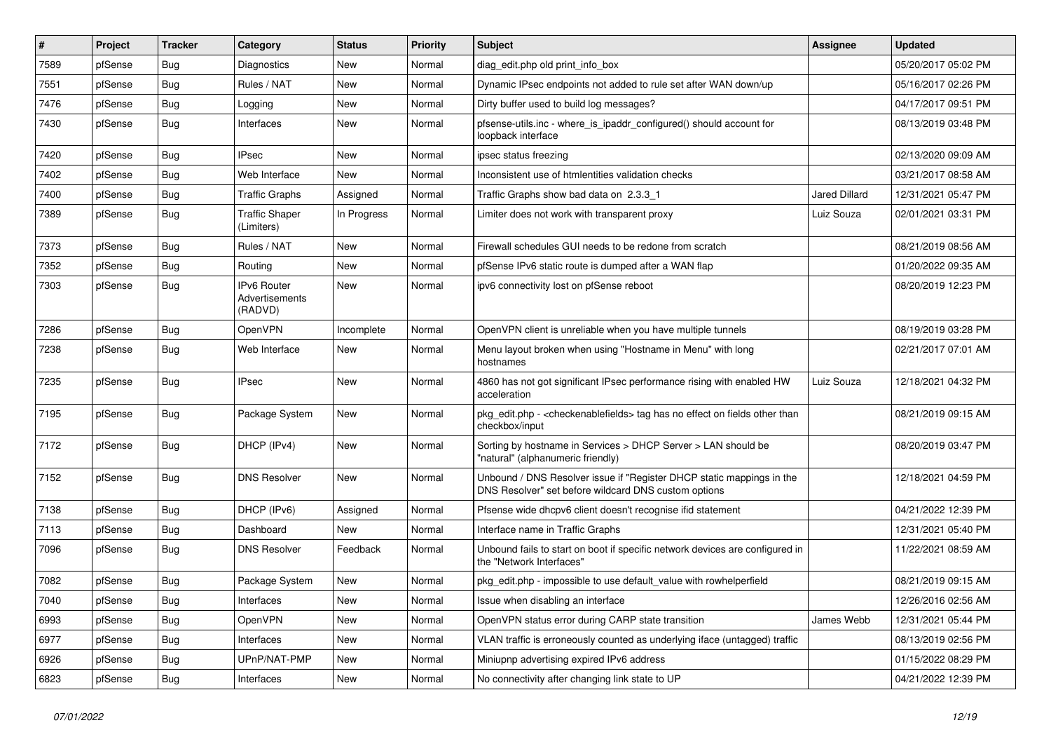| #    | Project | <b>Tracker</b> | Category                                        | <b>Status</b> | <b>Priority</b> | <b>Subject</b>                                                                                                                | <b>Assignee</b>      | <b>Updated</b>      |
|------|---------|----------------|-------------------------------------------------|---------------|-----------------|-------------------------------------------------------------------------------------------------------------------------------|----------------------|---------------------|
| 7589 | pfSense | <b>Bug</b>     | Diagnostics                                     | New           | Normal          | diag edit.php old print info box                                                                                              |                      | 05/20/2017 05:02 PM |
| 7551 | pfSense | Bug            | Rules / NAT                                     | New           | Normal          | Dynamic IPsec endpoints not added to rule set after WAN down/up                                                               |                      | 05/16/2017 02:26 PM |
| 7476 | pfSense | <b>Bug</b>     | Logging                                         | New           | Normal          | Dirty buffer used to build log messages?                                                                                      |                      | 04/17/2017 09:51 PM |
| 7430 | pfSense | <b>Bug</b>     | Interfaces                                      | New           | Normal          | pfsense-utils.inc - where_is_ipaddr_configured() should account for<br>loopback interface                                     |                      | 08/13/2019 03:48 PM |
| 7420 | pfSense | Bug            | <b>IPsec</b>                                    | <b>New</b>    | Normal          | ipsec status freezing                                                                                                         |                      | 02/13/2020 09:09 AM |
| 7402 | pfSense | Bug            | Web Interface                                   | New           | Normal          | Inconsistent use of htmlentities validation checks                                                                            |                      | 03/21/2017 08:58 AM |
| 7400 | pfSense | Bug            | <b>Traffic Graphs</b>                           | Assigned      | Normal          | Traffic Graphs show bad data on 2.3.3 1                                                                                       | <b>Jared Dillard</b> | 12/31/2021 05:47 PM |
| 7389 | pfSense | <b>Bug</b>     | <b>Traffic Shaper</b><br>(Limiters)             | In Progress   | Normal          | Limiter does not work with transparent proxy                                                                                  | Luiz Souza           | 02/01/2021 03:31 PM |
| 7373 | pfSense | <b>Bug</b>     | Rules / NAT                                     | <b>New</b>    | Normal          | Firewall schedules GUI needs to be redone from scratch                                                                        |                      | 08/21/2019 08:56 AM |
| 7352 | pfSense | <b>Bug</b>     | Routing                                         | New           | Normal          | pfSense IPv6 static route is dumped after a WAN flap                                                                          |                      | 01/20/2022 09:35 AM |
| 7303 | pfSense | Bug            | <b>IPv6 Router</b><br>Advertisements<br>(RADVD) | New           | Normal          | ipv6 connectivity lost on pfSense reboot                                                                                      |                      | 08/20/2019 12:23 PM |
| 7286 | pfSense | Bug            | OpenVPN                                         | Incomplete    | Normal          | OpenVPN client is unreliable when you have multiple tunnels                                                                   |                      | 08/19/2019 03:28 PM |
| 7238 | pfSense | <b>Bug</b>     | Web Interface                                   | New           | Normal          | Menu layout broken when using "Hostname in Menu" with long<br>hostnames                                                       |                      | 02/21/2017 07:01 AM |
| 7235 | pfSense | Bug            | <b>IPsec</b>                                    | <b>New</b>    | Normal          | 4860 has not got significant IPsec performance rising with enabled HW<br>acceleration                                         | Luiz Souza           | 12/18/2021 04:32 PM |
| 7195 | pfSense | <b>Bug</b>     | Package System                                  | <b>New</b>    | Normal          | pkg_edit.php - < checkenable fields> tag has no effect on fields other than<br>checkbox/input                                 |                      | 08/21/2019 09:15 AM |
| 7172 | pfSense | Bug            | DHCP (IPv4)                                     | <b>New</b>    | Normal          | Sorting by hostname in Services > DHCP Server > LAN should be<br>"natural" (alphanumeric friendly)                            |                      | 08/20/2019 03:47 PM |
| 7152 | pfSense | Bug            | <b>DNS Resolver</b>                             | <b>New</b>    | Normal          | Unbound / DNS Resolver issue if "Register DHCP static mappings in the<br>DNS Resolver" set before wildcard DNS custom options |                      | 12/18/2021 04:59 PM |
| 7138 | pfSense | <b>Bug</b>     | DHCP (IPv6)                                     | Assigned      | Normal          | Pfsense wide dhcpv6 client doesn't recognise ifid statement                                                                   |                      | 04/21/2022 12:39 PM |
| 7113 | pfSense | <b>Bug</b>     | Dashboard                                       | New           | Normal          | Interface name in Traffic Graphs                                                                                              |                      | 12/31/2021 05:40 PM |
| 7096 | pfSense | <b>Bug</b>     | <b>DNS Resolver</b>                             | Feedback      | Normal          | Unbound fails to start on boot if specific network devices are configured in<br>the "Network Interfaces"                      |                      | 11/22/2021 08:59 AM |
| 7082 | pfSense | Bug            | Package System                                  | New           | Normal          | pkg edit.php - impossible to use default value with rowhelperfield                                                            |                      | 08/21/2019 09:15 AM |
| 7040 | pfSense | <b>Bug</b>     | Interfaces                                      | New           | Normal          | Issue when disabling an interface                                                                                             |                      | 12/26/2016 02:56 AM |
| 6993 | pfSense | <b>Bug</b>     | OpenVPN                                         | New           | Normal          | OpenVPN status error during CARP state transition                                                                             | James Webb           | 12/31/2021 05:44 PM |
| 6977 | pfSense | <b>Bug</b>     | Interfaces                                      | New           | Normal          | VLAN traffic is erroneously counted as underlying iface (untagged) traffic                                                    |                      | 08/13/2019 02:56 PM |
| 6926 | pfSense | <b>Bug</b>     | UPnP/NAT-PMP                                    | New           | Normal          | Miniupnp advertising expired IPv6 address                                                                                     |                      | 01/15/2022 08:29 PM |
| 6823 | pfSense | Bug            | Interfaces                                      | New           | Normal          | No connectivity after changing link state to UP                                                                               |                      | 04/21/2022 12:39 PM |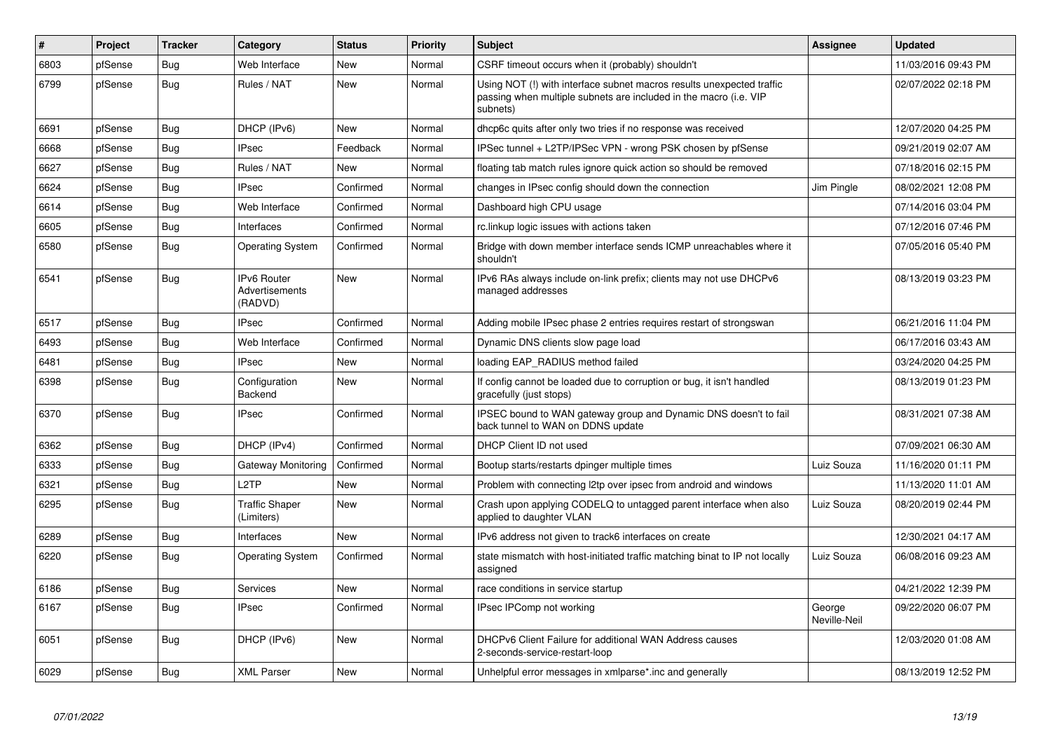| #    | Project | <b>Tracker</b> | Category                                        | <b>Status</b> | <b>Priority</b> | <b>Subject</b>                                                                                                                                         | <b>Assignee</b>        | <b>Updated</b>      |
|------|---------|----------------|-------------------------------------------------|---------------|-----------------|--------------------------------------------------------------------------------------------------------------------------------------------------------|------------------------|---------------------|
| 6803 | pfSense | Bug            | Web Interface                                   | <b>New</b>    | Normal          | CSRF timeout occurs when it (probably) shouldn't                                                                                                       |                        | 11/03/2016 09:43 PM |
| 6799 | pfSense | <b>Bug</b>     | Rules / NAT                                     | New           | Normal          | Using NOT (!) with interface subnet macros results unexpected traffic<br>passing when multiple subnets are included in the macro (i.e. VIP<br>subnets) |                        | 02/07/2022 02:18 PM |
| 6691 | pfSense | Bug            | DHCP (IPv6)                                     | <b>New</b>    | Normal          | dhcp6c quits after only two tries if no response was received                                                                                          |                        | 12/07/2020 04:25 PM |
| 6668 | pfSense | Bug            | <b>IPsec</b>                                    | Feedback      | Normal          | IPSec tunnel + L2TP/IPSec VPN - wrong PSK chosen by pfSense                                                                                            |                        | 09/21/2019 02:07 AM |
| 6627 | pfSense | <b>Bug</b>     | Rules / NAT                                     | <b>New</b>    | Normal          | floating tab match rules ignore quick action so should be removed                                                                                      |                        | 07/18/2016 02:15 PM |
| 6624 | pfSense | <b>Bug</b>     | <b>IPsec</b>                                    | Confirmed     | Normal          | changes in IPsec config should down the connection                                                                                                     | Jim Pingle             | 08/02/2021 12:08 PM |
| 6614 | pfSense | <b>Bug</b>     | Web Interface                                   | Confirmed     | Normal          | Dashboard high CPU usage                                                                                                                               |                        | 07/14/2016 03:04 PM |
| 6605 | pfSense | <b>Bug</b>     | Interfaces                                      | Confirmed     | Normal          | rc.linkup logic issues with actions taken                                                                                                              |                        | 07/12/2016 07:46 PM |
| 6580 | pfSense | <b>Bug</b>     | <b>Operating System</b>                         | Confirmed     | Normal          | Bridge with down member interface sends ICMP unreachables where it<br>shouldn't                                                                        |                        | 07/05/2016 05:40 PM |
| 6541 | pfSense | Bug            | <b>IPv6 Router</b><br>Advertisements<br>(RADVD) | <b>New</b>    | Normal          | IPv6 RAs always include on-link prefix; clients may not use DHCPv6<br>managed addresses                                                                |                        | 08/13/2019 03:23 PM |
| 6517 | pfSense | <b>Bug</b>     | <b>IPsec</b>                                    | Confirmed     | Normal          | Adding mobile IPsec phase 2 entries requires restart of strongswan                                                                                     |                        | 06/21/2016 11:04 PM |
| 6493 | pfSense | Bug            | Web Interface                                   | Confirmed     | Normal          | Dynamic DNS clients slow page load                                                                                                                     |                        | 06/17/2016 03:43 AM |
| 6481 | pfSense | <b>Bug</b>     | <b>IPsec</b>                                    | New           | Normal          | loading EAP RADIUS method failed                                                                                                                       |                        | 03/24/2020 04:25 PM |
| 6398 | pfSense | <b>Bug</b>     | Configuration<br>Backend                        | <b>New</b>    | Normal          | If config cannot be loaded due to corruption or bug, it isn't handled<br>gracefully (just stops)                                                       |                        | 08/13/2019 01:23 PM |
| 6370 | pfSense | <b>Bug</b>     | <b>IPsec</b>                                    | Confirmed     | Normal          | IPSEC bound to WAN gateway group and Dynamic DNS doesn't to fail<br>back tunnel to WAN on DDNS update                                                  |                        | 08/31/2021 07:38 AM |
| 6362 | pfSense | <b>Bug</b>     | DHCP (IPv4)                                     | Confirmed     | Normal          | DHCP Client ID not used                                                                                                                                |                        | 07/09/2021 06:30 AM |
| 6333 | pfSense | <b>Bug</b>     | Gateway Monitoring                              | Confirmed     | Normal          | Bootup starts/restarts dpinger multiple times                                                                                                          | Luiz Souza             | 11/16/2020 01:11 PM |
| 6321 | pfSense | Bug            | L2TP                                            | <b>New</b>    | Normal          | Problem with connecting I2tp over ipsec from android and windows                                                                                       |                        | 11/13/2020 11:01 AM |
| 6295 | pfSense | <b>Bug</b>     | <b>Traffic Shaper</b><br>(Limiters)             | New           | Normal          | Crash upon applying CODELQ to untagged parent interface when also<br>applied to daughter VLAN                                                          | Luiz Souza             | 08/20/2019 02:44 PM |
| 6289 | pfSense | <b>Bug</b>     | Interfaces                                      | <b>New</b>    | Normal          | IPv6 address not given to track6 interfaces on create                                                                                                  |                        | 12/30/2021 04:17 AM |
| 6220 | pfSense | <b>Bug</b>     | <b>Operating System</b>                         | Confirmed     | Normal          | state mismatch with host-initiated traffic matching binat to IP not locally<br>assigned                                                                | Luiz Souza             | 06/08/2016 09:23 AM |
| 6186 | pfSense | <b>Bug</b>     | Services                                        | <b>New</b>    | Normal          | race conditions in service startup                                                                                                                     |                        | 04/21/2022 12:39 PM |
| 6167 | pfSense | <b>Bug</b>     | <b>IPsec</b>                                    | Confirmed     | Normal          | IPsec IPComp not working                                                                                                                               | George<br>Neville-Neil | 09/22/2020 06:07 PM |
| 6051 | pfSense | <b>Bug</b>     | DHCP (IPv6)                                     | New           | Normal          | DHCPv6 Client Failure for additional WAN Address causes<br>2-seconds-service-restart-loop                                                              |                        | 12/03/2020 01:08 AM |
| 6029 | pfSense | Bug            | <b>XML Parser</b>                               | New           | Normal          | Unhelpful error messages in xmlparse*.inc and generally                                                                                                |                        | 08/13/2019 12:52 PM |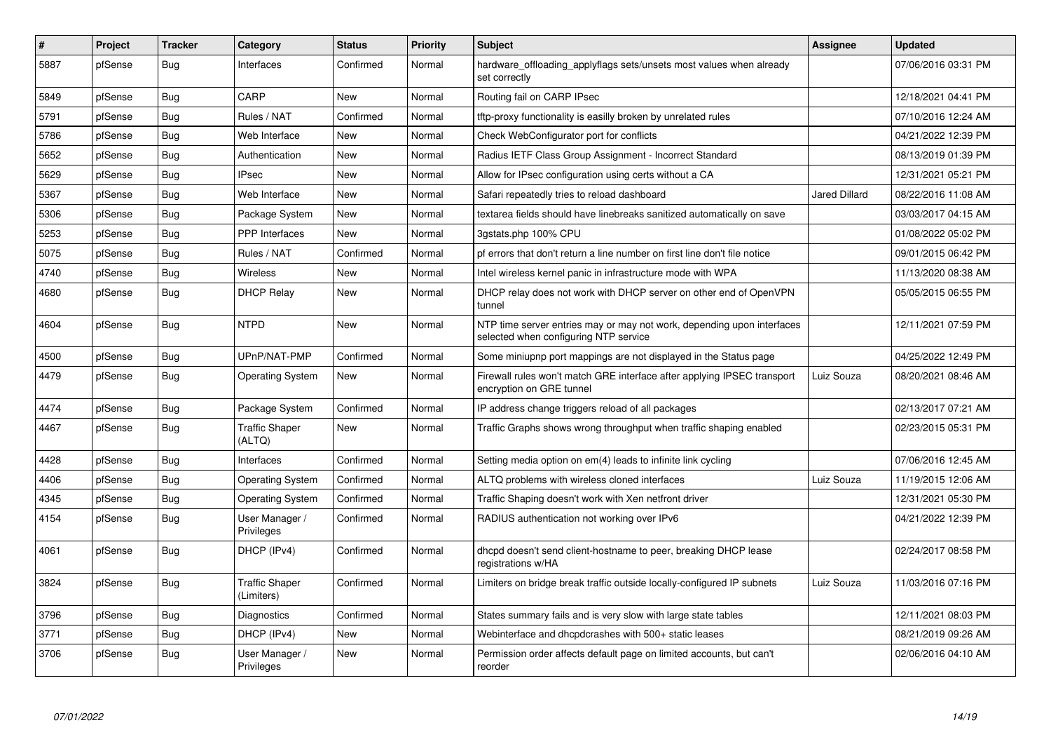| #    | Project | <b>Tracker</b> | Category                            | <b>Status</b> | <b>Priority</b> | <b>Subject</b>                                                                                                  | Assignee             | <b>Updated</b>      |
|------|---------|----------------|-------------------------------------|---------------|-----------------|-----------------------------------------------------------------------------------------------------------------|----------------------|---------------------|
| 5887 | pfSense | Bug            | Interfaces                          | Confirmed     | Normal          | hardware_offloading_applyflags sets/unsets most values when already<br>set correctly                            |                      | 07/06/2016 03:31 PM |
| 5849 | pfSense | <b>Bug</b>     | CARP                                | <b>New</b>    | Normal          | Routing fail on CARP IPsec                                                                                      |                      | 12/18/2021 04:41 PM |
| 5791 | pfSense | Bug            | Rules / NAT                         | Confirmed     | Normal          | tftp-proxy functionality is easilly broken by unrelated rules                                                   |                      | 07/10/2016 12:24 AM |
| 5786 | pfSense | <b>Bug</b>     | Web Interface                       | <b>New</b>    | Normal          | Check WebConfigurator port for conflicts                                                                        |                      | 04/21/2022 12:39 PM |
| 5652 | pfSense | Bug            | Authentication                      | New           | Normal          | Radius IETF Class Group Assignment - Incorrect Standard                                                         |                      | 08/13/2019 01:39 PM |
| 5629 | pfSense | Bug            | <b>IPsec</b>                        | New           | Normal          | Allow for IPsec configuration using certs without a CA                                                          |                      | 12/31/2021 05:21 PM |
| 5367 | pfSense | <b>Bug</b>     | Web Interface                       | New           | Normal          | Safari repeatedly tries to reload dashboard                                                                     | <b>Jared Dillard</b> | 08/22/2016 11:08 AM |
| 5306 | pfSense | <b>Bug</b>     | Package System                      | New           | Normal          | textarea fields should have linebreaks sanitized automatically on save                                          |                      | 03/03/2017 04:15 AM |
| 5253 | pfSense | <b>Bug</b>     | <b>PPP</b> Interfaces               | <b>New</b>    | Normal          | 3gstats.php 100% CPU                                                                                            |                      | 01/08/2022 05:02 PM |
| 5075 | pfSense | <b>Bug</b>     | Rules / NAT                         | Confirmed     | Normal          | pf errors that don't return a line number on first line don't file notice                                       |                      | 09/01/2015 06:42 PM |
| 4740 | pfSense | <b>Bug</b>     | Wireless                            | <b>New</b>    | Normal          | Intel wireless kernel panic in infrastructure mode with WPA                                                     |                      | 11/13/2020 08:38 AM |
| 4680 | pfSense | <b>Bug</b>     | <b>DHCP Relay</b>                   | New           | Normal          | DHCP relay does not work with DHCP server on other end of OpenVPN<br>tunnel                                     |                      | 05/05/2015 06:55 PM |
| 4604 | pfSense | <b>Bug</b>     | <b>NTPD</b>                         | <b>New</b>    | Normal          | NTP time server entries may or may not work, depending upon interfaces<br>selected when configuring NTP service |                      | 12/11/2021 07:59 PM |
| 4500 | pfSense | <b>Bug</b>     | UPnP/NAT-PMP                        | Confirmed     | Normal          | Some miniupnp port mappings are not displayed in the Status page                                                |                      | 04/25/2022 12:49 PM |
| 4479 | pfSense | <b>Bug</b>     | <b>Operating System</b>             | <b>New</b>    | Normal          | Firewall rules won't match GRE interface after applying IPSEC transport<br>encryption on GRE tunnel             | Luiz Souza           | 08/20/2021 08:46 AM |
| 4474 | pfSense | <b>Bug</b>     | Package System                      | Confirmed     | Normal          | IP address change triggers reload of all packages                                                               |                      | 02/13/2017 07:21 AM |
| 4467 | pfSense | <b>Bug</b>     | <b>Traffic Shaper</b><br>(ALTQ)     | <b>New</b>    | Normal          | Traffic Graphs shows wrong throughput when traffic shaping enabled                                              |                      | 02/23/2015 05:31 PM |
| 4428 | pfSense | <b>Bug</b>     | Interfaces                          | Confirmed     | Normal          | Setting media option on em(4) leads to infinite link cycling                                                    |                      | 07/06/2016 12:45 AM |
| 4406 | pfSense | <b>Bug</b>     | <b>Operating System</b>             | Confirmed     | Normal          | ALTQ problems with wireless cloned interfaces                                                                   | Luiz Souza           | 11/19/2015 12:06 AM |
| 4345 | pfSense | <b>Bug</b>     | <b>Operating System</b>             | Confirmed     | Normal          | Traffic Shaping doesn't work with Xen netfront driver                                                           |                      | 12/31/2021 05:30 PM |
| 4154 | pfSense | <b>Bug</b>     | User Manager /<br>Privileges        | Confirmed     | Normal          | RADIUS authentication not working over IPv6                                                                     |                      | 04/21/2022 12:39 PM |
| 4061 | pfSense | <b>Bug</b>     | DHCP (IPv4)                         | Confirmed     | Normal          | dhcpd doesn't send client-hostname to peer, breaking DHCP lease<br>registrations w/HA                           |                      | 02/24/2017 08:58 PM |
| 3824 | pfSense | <b>Bug</b>     | <b>Traffic Shaper</b><br>(Limiters) | Confirmed     | Normal          | Limiters on bridge break traffic outside locally-configured IP subnets                                          | Luiz Souza           | 11/03/2016 07:16 PM |
| 3796 | pfSense | <b>Bug</b>     | Diagnostics                         | Confirmed     | Normal          | States summary fails and is very slow with large state tables                                                   |                      | 12/11/2021 08:03 PM |
| 3771 | pfSense | Bug            | DHCP (IPv4)                         | <b>New</b>    | Normal          | Webinterface and dhcpdcrashes with 500+ static leases                                                           |                      | 08/21/2019 09:26 AM |
| 3706 | pfSense | <b>Bug</b>     | User Manager /<br>Privileges        | <b>New</b>    | Normal          | Permission order affects default page on limited accounts, but can't<br>reorder                                 |                      | 02/06/2016 04:10 AM |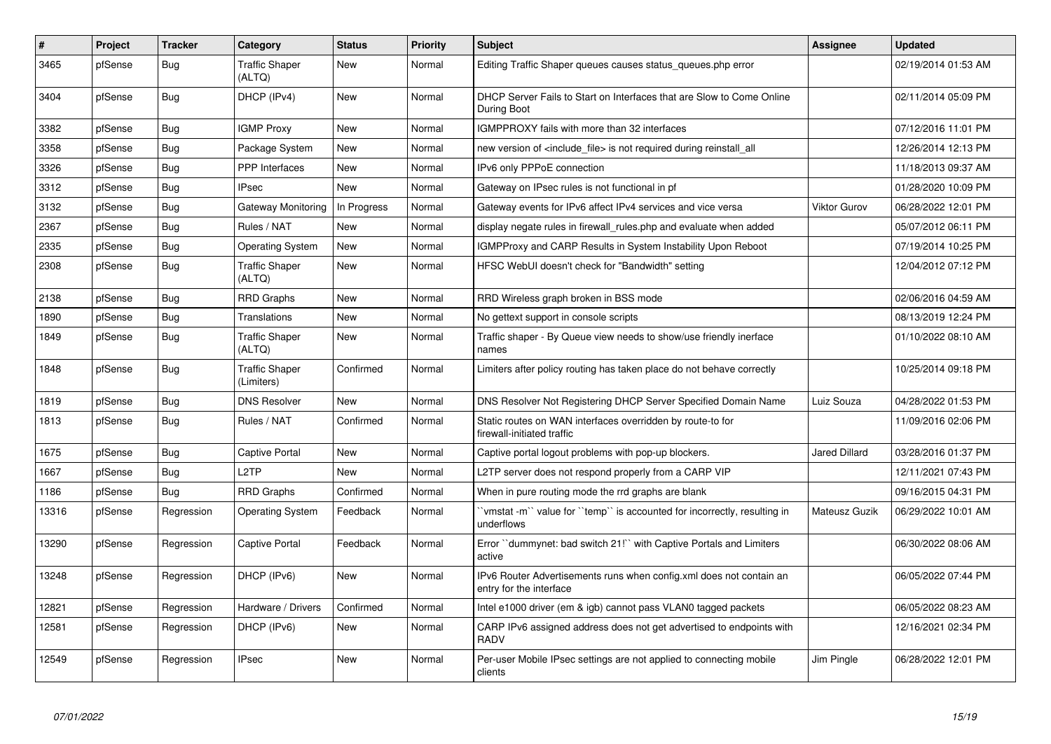| $\vert$ # | <b>Project</b> | <b>Tracker</b> | Category                            | <b>Status</b> | <b>Priority</b> | <b>Subject</b>                                                                                 | Assignee             | <b>Updated</b>      |
|-----------|----------------|----------------|-------------------------------------|---------------|-----------------|------------------------------------------------------------------------------------------------|----------------------|---------------------|
| 3465      | pfSense        | <b>Bug</b>     | <b>Traffic Shaper</b><br>(ALTQ)     | New           | Normal          | Editing Traffic Shaper queues causes status_queues.php error                                   |                      | 02/19/2014 01:53 AM |
| 3404      | pfSense        | <b>Bug</b>     | DHCP (IPv4)                         | New           | Normal          | DHCP Server Fails to Start on Interfaces that are Slow to Come Online<br>During Boot           |                      | 02/11/2014 05:09 PM |
| 3382      | pfSense        | Bug            | <b>IGMP Proxy</b>                   | New           | Normal          | IGMPPROXY fails with more than 32 interfaces                                                   |                      | 07/12/2016 11:01 PM |
| 3358      | pfSense        | <b>Bug</b>     | Package System                      | New           | Normal          | new version of <include_file> is not required during reinstall_all</include_file>              |                      | 12/26/2014 12:13 PM |
| 3326      | pfSense        | <b>Bug</b>     | <b>PPP</b> Interfaces               | New           | Normal          | IPv6 only PPPoE connection                                                                     |                      | 11/18/2013 09:37 AM |
| 3312      | pfSense        | <b>Bug</b>     | <b>IPsec</b>                        | <b>New</b>    | Normal          | Gateway on IPsec rules is not functional in pf                                                 |                      | 01/28/2020 10:09 PM |
| 3132      | pfSense        | Bug            | Gateway Monitoring                  | In Progress   | Normal          | Gateway events for IPv6 affect IPv4 services and vice versa                                    | <b>Viktor Gurov</b>  | 06/28/2022 12:01 PM |
| 2367      | pfSense        | <b>Bug</b>     | Rules / NAT                         | New           | Normal          | display negate rules in firewall rules php and evaluate when added                             |                      | 05/07/2012 06:11 PM |
| 2335      | pfSense        | <b>Bug</b>     | <b>Operating System</b>             | <b>New</b>    | Normal          | IGMPProxy and CARP Results in System Instability Upon Reboot                                   |                      | 07/19/2014 10:25 PM |
| 2308      | pfSense        | <b>Bug</b>     | <b>Traffic Shaper</b><br>(ALTQ)     | New           | Normal          | HFSC WebUI doesn't check for "Bandwidth" setting                                               |                      | 12/04/2012 07:12 PM |
| 2138      | pfSense        | <b>Bug</b>     | <b>RRD Graphs</b>                   | New           | Normal          | RRD Wireless graph broken in BSS mode                                                          |                      | 02/06/2016 04:59 AM |
| 1890      | pfSense        | <b>Bug</b>     | Translations                        | <b>New</b>    | Normal          | No gettext support in console scripts                                                          |                      | 08/13/2019 12:24 PM |
| 1849      | pfSense        | Bug            | <b>Traffic Shaper</b><br>(ALTQ)     | New           | Normal          | Traffic shaper - By Queue view needs to show/use friendly inerface<br>names                    |                      | 01/10/2022 08:10 AM |
| 1848      | pfSense        | <b>Bug</b>     | <b>Traffic Shaper</b><br>(Limiters) | Confirmed     | Normal          | Limiters after policy routing has taken place do not behave correctly                          |                      | 10/25/2014 09:18 PM |
| 1819      | pfSense        | Bug            | <b>DNS Resolver</b>                 | New           | Normal          | DNS Resolver Not Registering DHCP Server Specified Domain Name                                 | Luiz Souza           | 04/28/2022 01:53 PM |
| 1813      | pfSense        | <b>Bug</b>     | Rules / NAT                         | Confirmed     | Normal          | Static routes on WAN interfaces overridden by route-to for<br>firewall-initiated traffic       |                      | 11/09/2016 02:06 PM |
| 1675      | pfSense        | Bug            | Captive Portal                      | New           | Normal          | Captive portal logout problems with pop-up blockers.                                           | <b>Jared Dillard</b> | 03/28/2016 01:37 PM |
| 1667      | pfSense        | <b>Bug</b>     | L2TP                                | <b>New</b>    | Normal          | L2TP server does not respond properly from a CARP VIP                                          |                      | 12/11/2021 07:43 PM |
| 1186      | pfSense        | Bug            | <b>RRD Graphs</b>                   | Confirmed     | Normal          | When in pure routing mode the rrd graphs are blank                                             |                      | 09/16/2015 04:31 PM |
| 13316     | pfSense        | Regression     | <b>Operating System</b>             | Feedback      | Normal          | `vmstat -m`` value for ``temp`` is accounted for incorrectly, resulting in<br>underflows       | Mateusz Guzik        | 06/29/2022 10:01 AM |
| 13290     | pfSense        | Regression     | <b>Captive Portal</b>               | Feedback      | Normal          | Error "dummynet: bad switch 21!" with Captive Portals and Limiters<br>active                   |                      | 06/30/2022 08:06 AM |
| 13248     | pfSense        | Regression     | DHCP (IPv6)                         | <b>New</b>    | Normal          | IPv6 Router Advertisements runs when config.xml does not contain an<br>entry for the interface |                      | 06/05/2022 07:44 PM |
| 12821     | pfSense        | Regression     | Hardware / Drivers                  | Confirmed     | Normal          | Intel e1000 driver (em & igb) cannot pass VLAN0 tagged packets                                 |                      | 06/05/2022 08:23 AM |
| 12581     | pfSense        | Regression     | DHCP (IPv6)                         | New           | Normal          | CARP IPv6 assigned address does not get advertised to endpoints with<br><b>RADV</b>            |                      | 12/16/2021 02:34 PM |
| 12549     | pfSense        | Regression     | <b>IPsec</b>                        | <b>New</b>    | Normal          | Per-user Mobile IPsec settings are not applied to connecting mobile<br>clients                 | Jim Pingle           | 06/28/2022 12:01 PM |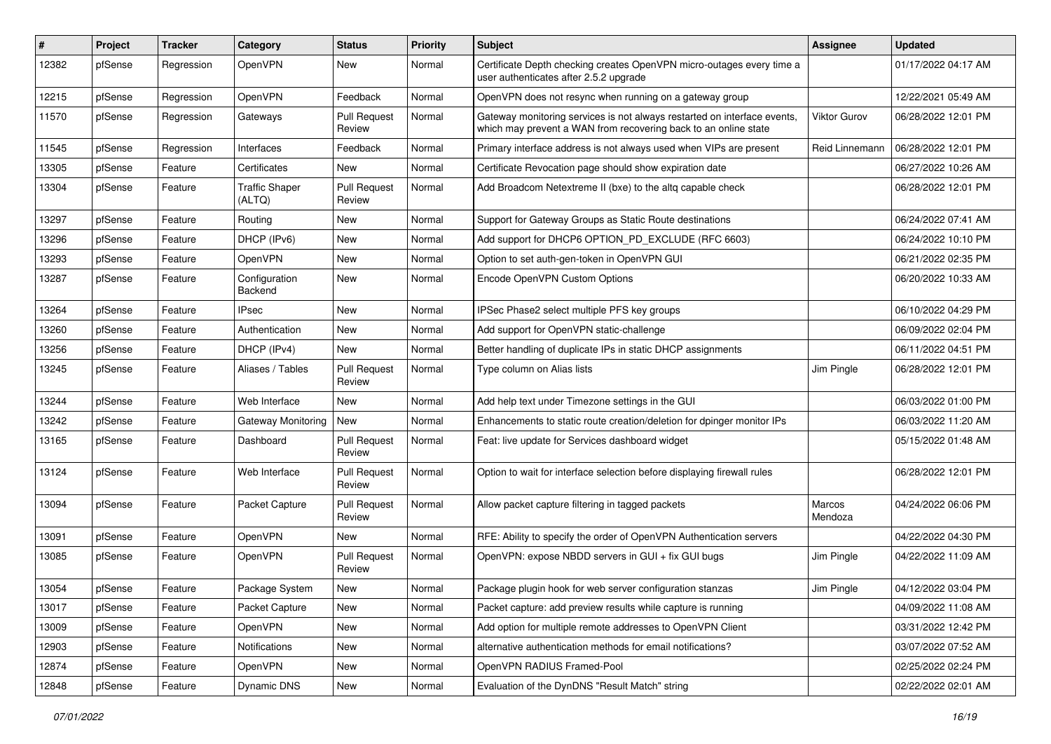| #     | Project | <b>Tracker</b> | Category                        | <b>Status</b>                 | <b>Priority</b> | <b>Subject</b>                                                                                                                             | <b>Assignee</b>     | <b>Updated</b>      |
|-------|---------|----------------|---------------------------------|-------------------------------|-----------------|--------------------------------------------------------------------------------------------------------------------------------------------|---------------------|---------------------|
| 12382 | pfSense | Regression     | OpenVPN                         | New                           | Normal          | Certificate Depth checking creates OpenVPN micro-outages every time a<br>user authenticates after 2.5.2 upgrade                            |                     | 01/17/2022 04:17 AM |
| 12215 | pfSense | Regression     | OpenVPN                         | Feedback                      | Normal          | OpenVPN does not resync when running on a gateway group                                                                                    |                     | 12/22/2021 05:49 AM |
| 11570 | pfSense | Regression     | Gateways                        | <b>Pull Request</b><br>Review | Normal          | Gateway monitoring services is not always restarted on interface events<br>which may prevent a WAN from recovering back to an online state | <b>Viktor Gurov</b> | 06/28/2022 12:01 PM |
| 11545 | pfSense | Regression     | Interfaces                      | Feedback                      | Normal          | Primary interface address is not always used when VIPs are present                                                                         | Reid Linnemann      | 06/28/2022 12:01 PM |
| 13305 | pfSense | Feature        | Certificates                    | New                           | Normal          | Certificate Revocation page should show expiration date                                                                                    |                     | 06/27/2022 10:26 AM |
| 13304 | pfSense | Feature        | <b>Traffic Shaper</b><br>(ALTQ) | <b>Pull Request</b><br>Review | Normal          | Add Broadcom Netextreme II (bxe) to the altg capable check                                                                                 |                     | 06/28/2022 12:01 PM |
| 13297 | pfSense | Feature        | Routing                         | New                           | Normal          | Support for Gateway Groups as Static Route destinations                                                                                    |                     | 06/24/2022 07:41 AM |
| 13296 | pfSense | Feature        | DHCP (IPv6)                     | New                           | Normal          | Add support for DHCP6 OPTION_PD_EXCLUDE (RFC 6603)                                                                                         |                     | 06/24/2022 10:10 PM |
| 13293 | pfSense | Feature        | OpenVPN                         | <b>New</b>                    | Normal          | Option to set auth-gen-token in OpenVPN GUI                                                                                                |                     | 06/21/2022 02:35 PM |
| 13287 | pfSense | Feature        | Configuration<br>Backend        | New                           | Normal          | Encode OpenVPN Custom Options                                                                                                              |                     | 06/20/2022 10:33 AM |
| 13264 | pfSense | Feature        | <b>IPsec</b>                    | New                           | Normal          | IPSec Phase2 select multiple PFS key groups                                                                                                |                     | 06/10/2022 04:29 PM |
| 13260 | pfSense | Feature        | Authentication                  | <b>New</b>                    | Normal          | Add support for OpenVPN static-challenge                                                                                                   |                     | 06/09/2022 02:04 PM |
| 13256 | pfSense | Feature        | DHCP (IPv4)                     | New                           | Normal          | Better handling of duplicate IPs in static DHCP assignments                                                                                |                     | 06/11/2022 04:51 PM |
| 13245 | pfSense | Feature        | Aliases / Tables                | <b>Pull Request</b><br>Review | Normal          | Type column on Alias lists                                                                                                                 | Jim Pingle          | 06/28/2022 12:01 PM |
| 13244 | pfSense | Feature        | Web Interface                   | New                           | Normal          | Add help text under Timezone settings in the GUI                                                                                           |                     | 06/03/2022 01:00 PM |
| 13242 | pfSense | Feature        | <b>Gateway Monitoring</b>       | <b>New</b>                    | Normal          | Enhancements to static route creation/deletion for dpinger monitor IPs                                                                     |                     | 06/03/2022 11:20 AM |
| 13165 | pfSense | Feature        | Dashboard                       | <b>Pull Request</b><br>Review | Normal          | Feat: live update for Services dashboard widget                                                                                            |                     | 05/15/2022 01:48 AM |
| 13124 | pfSense | Feature        | Web Interface                   | <b>Pull Request</b><br>Review | Normal          | Option to wait for interface selection before displaying firewall rules                                                                    |                     | 06/28/2022 12:01 PM |
| 13094 | pfSense | Feature        | Packet Capture                  | <b>Pull Request</b><br>Review | Normal          | Allow packet capture filtering in tagged packets                                                                                           | Marcos<br>Mendoza   | 04/24/2022 06:06 PM |
| 13091 | pfSense | Feature        | OpenVPN                         | New                           | Normal          | RFE: Ability to specify the order of OpenVPN Authentication servers                                                                        |                     | 04/22/2022 04:30 PM |
| 13085 | pfSense | Feature        | OpenVPN                         | <b>Pull Request</b><br>Review | Normal          | OpenVPN: expose NBDD servers in GUI + fix GUI bugs                                                                                         | Jim Pingle          | 04/22/2022 11:09 AM |
| 13054 | pfSense | Feature        | Package System                  | New                           | Normal          | Package plugin hook for web server configuration stanzas                                                                                   | Jim Pingle          | 04/12/2022 03:04 PM |
| 13017 | pfSense | Feature        | Packet Capture                  | New                           | Normal          | Packet capture: add preview results while capture is running                                                                               |                     | 04/09/2022 11:08 AM |
| 13009 | pfSense | Feature        | OpenVPN                         | New                           | Normal          | Add option for multiple remote addresses to OpenVPN Client                                                                                 |                     | 03/31/2022 12:42 PM |
| 12903 | pfSense | Feature        | Notifications                   | New                           | Normal          | alternative authentication methods for email notifications?                                                                                |                     | 03/07/2022 07:52 AM |
| 12874 | pfSense | Feature        | OpenVPN                         | New                           | Normal          | OpenVPN RADIUS Framed-Pool                                                                                                                 |                     | 02/25/2022 02:24 PM |
| 12848 | pfSense | Feature        | Dynamic DNS                     | New                           | Normal          | Evaluation of the DynDNS "Result Match" string                                                                                             |                     | 02/22/2022 02:01 AM |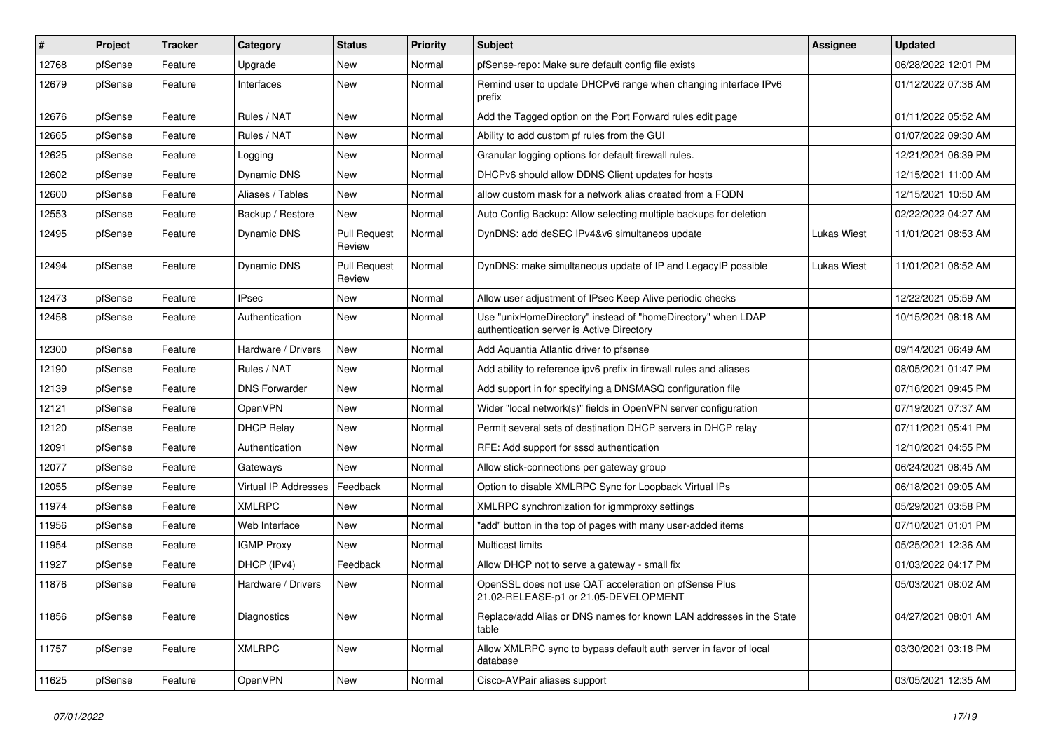| $\vert$ # | Project | <b>Tracker</b> | Category                    | <b>Status</b>                 | <b>Priority</b> | <b>Subject</b>                                                                                            | <b>Assignee</b>    | <b>Updated</b>      |
|-----------|---------|----------------|-----------------------------|-------------------------------|-----------------|-----------------------------------------------------------------------------------------------------------|--------------------|---------------------|
| 12768     | pfSense | Feature        | Upgrade                     | New                           | Normal          | pfSense-repo: Make sure default config file exists                                                        |                    | 06/28/2022 12:01 PM |
| 12679     | pfSense | Feature        | Interfaces                  | New                           | Normal          | Remind user to update DHCPv6 range when changing interface IPv6<br>prefix                                 |                    | 01/12/2022 07:36 AM |
| 12676     | pfSense | Feature        | Rules / NAT                 | New                           | Normal          | Add the Tagged option on the Port Forward rules edit page                                                 |                    | 01/11/2022 05:52 AM |
| 12665     | pfSense | Feature        | Rules / NAT                 | New                           | Normal          | Ability to add custom pf rules from the GUI                                                               |                    | 01/07/2022 09:30 AM |
| 12625     | pfSense | Feature        | Logging                     | New                           | Normal          | Granular logging options for default firewall rules.                                                      |                    | 12/21/2021 06:39 PM |
| 12602     | pfSense | Feature        | Dynamic DNS                 | New                           | Normal          | DHCPv6 should allow DDNS Client updates for hosts                                                         |                    | 12/15/2021 11:00 AM |
| 12600     | pfSense | Feature        | Aliases / Tables            | New                           | Normal          | allow custom mask for a network alias created from a FQDN                                                 |                    | 12/15/2021 10:50 AM |
| 12553     | pfSense | Feature        | Backup / Restore            | New                           | Normal          | Auto Config Backup: Allow selecting multiple backups for deletion                                         |                    | 02/22/2022 04:27 AM |
| 12495     | pfSense | Feature        | Dynamic DNS                 | <b>Pull Request</b><br>Review | Normal          | DynDNS: add deSEC IPv4&v6 simultaneos update                                                              | Lukas Wiest        | 11/01/2021 08:53 AM |
| 12494     | pfSense | Feature        | Dynamic DNS                 | <b>Pull Request</b><br>Review | Normal          | DynDNS: make simultaneous update of IP and LegacyIP possible                                              | <b>Lukas Wiest</b> | 11/01/2021 08:52 AM |
| 12473     | pfSense | Feature        | <b>IPsec</b>                | New                           | Normal          | Allow user adjustment of IPsec Keep Alive periodic checks                                                 |                    | 12/22/2021 05:59 AM |
| 12458     | pfSense | Feature        | Authentication              | New                           | Normal          | Use "unixHomeDirectory" instead of "homeDirectory" when LDAP<br>authentication server is Active Directory |                    | 10/15/2021 08:18 AM |
| 12300     | pfSense | Feature        | Hardware / Drivers          | <b>New</b>                    | Normal          | Add Aquantia Atlantic driver to pfsense                                                                   |                    | 09/14/2021 06:49 AM |
| 12190     | pfSense | Feature        | Rules / NAT                 | New                           | Normal          | Add ability to reference ipv6 prefix in firewall rules and aliases                                        |                    | 08/05/2021 01:47 PM |
| 12139     | pfSense | Feature        | <b>DNS Forwarder</b>        | New                           | Normal          | Add support in for specifying a DNSMASQ configuration file                                                |                    | 07/16/2021 09:45 PM |
| 12121     | pfSense | Feature        | OpenVPN                     | New                           | Normal          | Wider "local network(s)" fields in OpenVPN server configuration                                           |                    | 07/19/2021 07:37 AM |
| 12120     | pfSense | Feature        | <b>DHCP Relay</b>           | New                           | Normal          | Permit several sets of destination DHCP servers in DHCP relay                                             |                    | 07/11/2021 05:41 PM |
| 12091     | pfSense | Feature        | Authentication              | New                           | Normal          | RFE: Add support for sssd authentication                                                                  |                    | 12/10/2021 04:55 PM |
| 12077     | pfSense | Feature        | Gateways                    | <b>New</b>                    | Normal          | Allow stick-connections per gateway group                                                                 |                    | 06/24/2021 08:45 AM |
| 12055     | pfSense | Feature        | <b>Virtual IP Addresses</b> | Feedback                      | Normal          | Option to disable XMLRPC Sync for Loopback Virtual IPs                                                    |                    | 06/18/2021 09:05 AM |
| 11974     | pfSense | Feature        | <b>XMLRPC</b>               | New                           | Normal          | XMLRPC synchronization for igmmproxy settings                                                             |                    | 05/29/2021 03:58 PM |
| 11956     | pfSense | Feature        | Web Interface               | New                           | Normal          | "add" button in the top of pages with many user-added items                                               |                    | 07/10/2021 01:01 PM |
| 11954     | pfSense | Feature        | <b>IGMP Proxy</b>           | <b>New</b>                    | Normal          | Multicast limits                                                                                          |                    | 05/25/2021 12:36 AM |
| 11927     | pfSense | Feature        | DHCP (IPv4)                 | Feedback                      | Normal          | Allow DHCP not to serve a gateway - small fix                                                             |                    | 01/03/2022 04:17 PM |
| 11876     | pfSense | Feature        | Hardware / Drivers          | New                           | Normal          | OpenSSL does not use QAT acceleration on pfSense Plus<br>21.02-RELEASE-p1 or 21.05-DEVELOPMENT            |                    | 05/03/2021 08:02 AM |
| 11856     | pfSense | Feature        | Diagnostics                 | New                           | Normal          | Replace/add Alias or DNS names for known LAN addresses in the State<br>table                              |                    | 04/27/2021 08:01 AM |
| 11757     | pfSense | Feature        | <b>XMLRPC</b>               | New                           | Normal          | Allow XMLRPC sync to bypass default auth server in favor of local<br>database                             |                    | 03/30/2021 03:18 PM |
| 11625     | pfSense | Feature        | OpenVPN                     | New                           | Normal          | Cisco-AVPair aliases support                                                                              |                    | 03/05/2021 12:35 AM |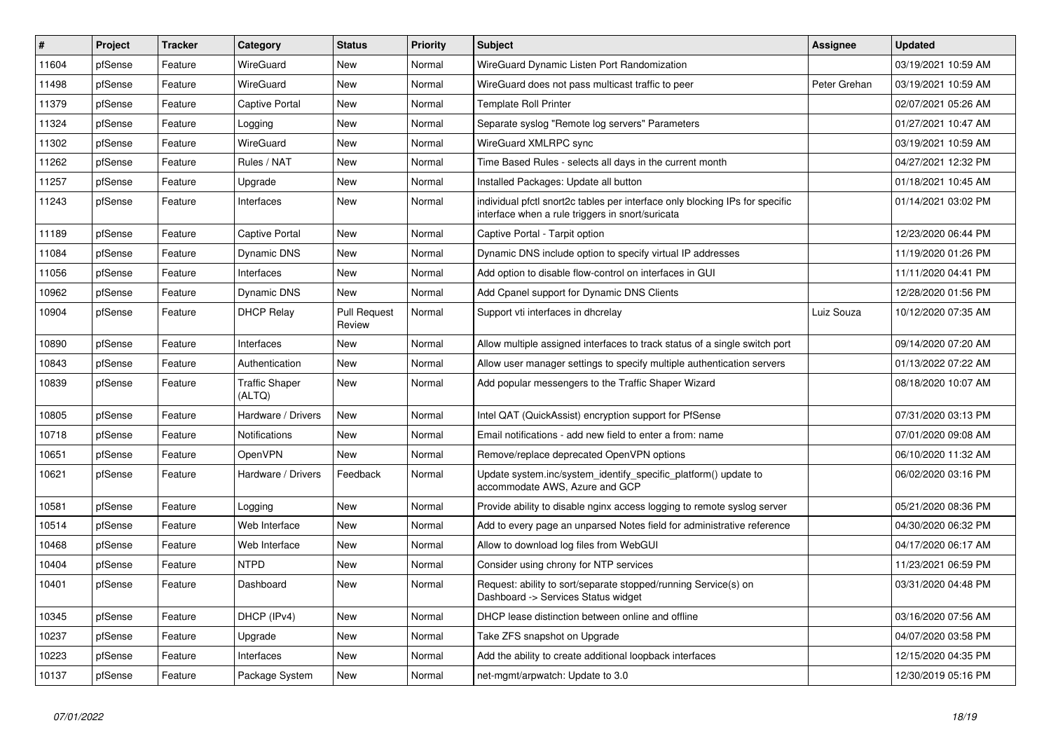| #     | Project | <b>Tracker</b> | Category                        | <b>Status</b>                 | <b>Priority</b> | <b>Subject</b>                                                                                                                   | <b>Assignee</b> | <b>Updated</b>      |
|-------|---------|----------------|---------------------------------|-------------------------------|-----------------|----------------------------------------------------------------------------------------------------------------------------------|-----------------|---------------------|
| 11604 | pfSense | Feature        | WireGuard                       | <b>New</b>                    | Normal          | WireGuard Dynamic Listen Port Randomization                                                                                      |                 | 03/19/2021 10:59 AM |
| 11498 | pfSense | Feature        | WireGuard                       | <b>New</b>                    | Normal          | WireGuard does not pass multicast traffic to peer                                                                                | Peter Grehan    | 03/19/2021 10:59 AM |
| 11379 | pfSense | Feature        | Captive Portal                  | <b>New</b>                    | Normal          | <b>Template Roll Printer</b>                                                                                                     |                 | 02/07/2021 05:26 AM |
| 11324 | pfSense | Feature        | Logging                         | <b>New</b>                    | Normal          | Separate syslog "Remote log servers" Parameters                                                                                  |                 | 01/27/2021 10:47 AM |
| 11302 | pfSense | Feature        | WireGuard                       | <b>New</b>                    | Normal          | WireGuard XMLRPC sync                                                                                                            |                 | 03/19/2021 10:59 AM |
| 11262 | pfSense | Feature        | Rules / NAT                     | <b>New</b>                    | Normal          | Time Based Rules - selects all days in the current month                                                                         |                 | 04/27/2021 12:32 PM |
| 11257 | pfSense | Feature        | Upgrade                         | <b>New</b>                    | Normal          | Installed Packages: Update all button                                                                                            |                 | 01/18/2021 10:45 AM |
| 11243 | pfSense | Feature        | Interfaces                      | <b>New</b>                    | Normal          | individual pfctl snort2c tables per interface only blocking IPs for specific<br>interface when a rule triggers in snort/suricata |                 | 01/14/2021 03:02 PM |
| 11189 | pfSense | Feature        | Captive Portal                  | New                           | Normal          | Captive Portal - Tarpit option                                                                                                   |                 | 12/23/2020 06:44 PM |
| 11084 | pfSense | Feature        | Dynamic DNS                     | New                           | Normal          | Dynamic DNS include option to specify virtual IP addresses                                                                       |                 | 11/19/2020 01:26 PM |
| 11056 | pfSense | Feature        | Interfaces                      | <b>New</b>                    | Normal          | Add option to disable flow-control on interfaces in GUI                                                                          |                 | 11/11/2020 04:41 PM |
| 10962 | pfSense | Feature        | Dynamic DNS                     | New                           | Normal          | Add Cpanel support for Dynamic DNS Clients                                                                                       |                 | 12/28/2020 01:56 PM |
| 10904 | pfSense | Feature        | <b>DHCP Relay</b>               | <b>Pull Request</b><br>Review | Normal          | Support vti interfaces in dhcrelay                                                                                               | Luiz Souza      | 10/12/2020 07:35 AM |
| 10890 | pfSense | Feature        | Interfaces                      | New                           | Normal          | Allow multiple assigned interfaces to track status of a single switch port                                                       |                 | 09/14/2020 07:20 AM |
| 10843 | pfSense | Feature        | Authentication                  | New                           | Normal          | Allow user manager settings to specify multiple authentication servers                                                           |                 | 01/13/2022 07:22 AM |
| 10839 | pfSense | Feature        | <b>Traffic Shaper</b><br>(ALTQ) | New                           | Normal          | Add popular messengers to the Traffic Shaper Wizard                                                                              |                 | 08/18/2020 10:07 AM |
| 10805 | pfSense | Feature        | Hardware / Drivers              | New                           | Normal          | Intel QAT (QuickAssist) encryption support for PfSense                                                                           |                 | 07/31/2020 03:13 PM |
| 10718 | pfSense | Feature        | Notifications                   | <b>New</b>                    | Normal          | Email notifications - add new field to enter a from: name                                                                        |                 | 07/01/2020 09:08 AM |
| 10651 | pfSense | Feature        | OpenVPN                         | <b>New</b>                    | Normal          | Remove/replace deprecated OpenVPN options                                                                                        |                 | 06/10/2020 11:32 AM |
| 10621 | pfSense | Feature        | Hardware / Drivers              | Feedback                      | Normal          | Update system.inc/system identify specific platform() update to<br>accommodate AWS, Azure and GCP                                |                 | 06/02/2020 03:16 PM |
| 10581 | pfSense | Feature        | Logging                         | <b>New</b>                    | Normal          | Provide ability to disable nginx access logging to remote syslog server                                                          |                 | 05/21/2020 08:36 PM |
| 10514 | pfSense | Feature        | Web Interface                   | <b>New</b>                    | Normal          | Add to every page an unparsed Notes field for administrative reference                                                           |                 | 04/30/2020 06:32 PM |
| 10468 | pfSense | Feature        | Web Interface                   | <b>New</b>                    | Normal          | Allow to download log files from WebGUI                                                                                          |                 | 04/17/2020 06:17 AM |
| 10404 | pfSense | Feature        | <b>NTPD</b>                     | <b>New</b>                    | Normal          | Consider using chrony for NTP services                                                                                           |                 | 11/23/2021 06:59 PM |
| 10401 | pfSense | Feature        | Dashboard                       | New                           | Normal          | Request: ability to sort/separate stopped/running Service(s) on<br>Dashboard -> Services Status widget                           |                 | 03/31/2020 04:48 PM |
| 10345 | pfSense | Feature        | DHCP (IPv4)                     | <b>New</b>                    | Normal          | DHCP lease distinction between online and offline                                                                                |                 | 03/16/2020 07:56 AM |
| 10237 | pfSense | Feature        | Upgrade                         | <b>New</b>                    | Normal          | Take ZFS snapshot on Upgrade                                                                                                     |                 | 04/07/2020 03:58 PM |
| 10223 | pfSense | Feature        | Interfaces                      | <b>New</b>                    | Normal          | Add the ability to create additional loopback interfaces                                                                         |                 | 12/15/2020 04:35 PM |
| 10137 | pfSense | Feature        | Package System                  | New                           | Normal          | net-mgmt/arpwatch: Update to 3.0                                                                                                 |                 | 12/30/2019 05:16 PM |